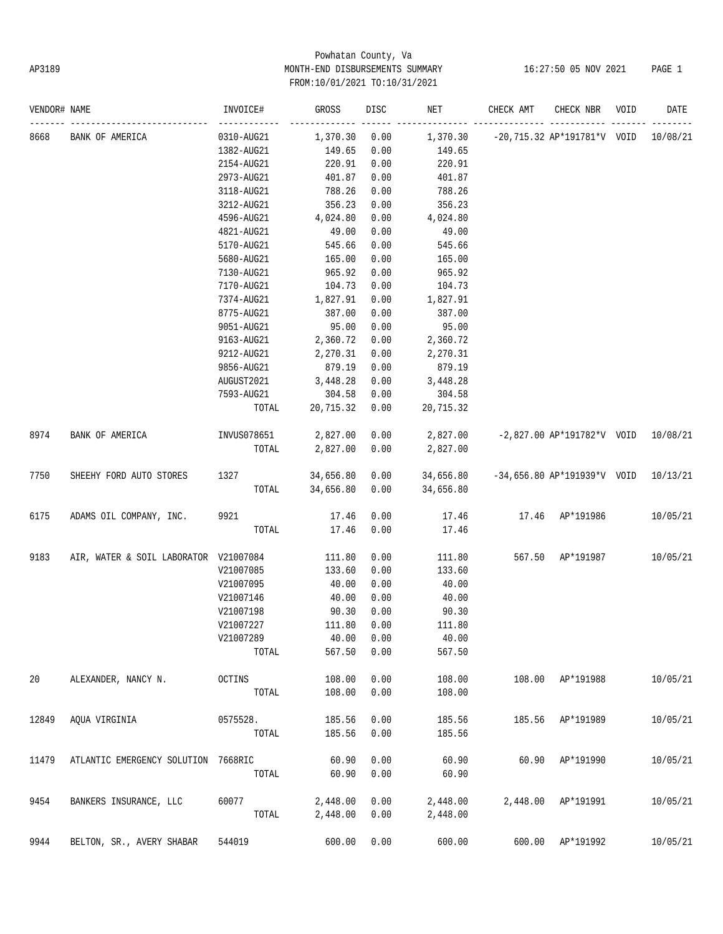# Powhatan County, Va AP3189 MONTH-END DISBURSEMENTS SUMMARY 16:27:50 05 NOV 2021 PAGE 1 FROM:10/01/2021 TO:10/31/2021

| VENDOR# NAME |                                       | INVOICE#    | <b>GROSS</b> | DISC | NET       | CHECK AMT | CHECK NBR                     | VOID | DATE     |
|--------------|---------------------------------------|-------------|--------------|------|-----------|-----------|-------------------------------|------|----------|
| 8668         | BANK OF AMERICA                       | 0310-AUG21  | 1,370.30     | 0.00 | 1,370.30  |           | -20,715.32 AP*191781*V VOID   |      | 10/08/21 |
|              |                                       | 1382-AUG21  | 149.65       | 0.00 | 149.65    |           |                               |      |          |
|              |                                       | 2154-AUG21  | 220.91       | 0.00 | 220.91    |           |                               |      |          |
|              |                                       | 2973-AUG21  | 401.87       | 0.00 | 401.87    |           |                               |      |          |
|              |                                       | 3118-AUG21  | 788.26       | 0.00 | 788.26    |           |                               |      |          |
|              |                                       | 3212-AUG21  | 356.23       | 0.00 | 356.23    |           |                               |      |          |
|              |                                       | 4596-AUG21  | 4,024.80     | 0.00 | 4,024.80  |           |                               |      |          |
|              |                                       | 4821-AUG21  | 49.00        | 0.00 | 49.00     |           |                               |      |          |
|              |                                       | 5170-AUG21  | 545.66       | 0.00 | 545.66    |           |                               |      |          |
|              |                                       | 5680-AUG21  | 165.00       | 0.00 | 165.00    |           |                               |      |          |
|              |                                       | 7130-AUG21  | 965.92       | 0.00 | 965.92    |           |                               |      |          |
|              |                                       | 7170-AUG21  | 104.73       | 0.00 | 104.73    |           |                               |      |          |
|              |                                       | 7374-AUG21  | 1,827.91     | 0.00 | 1,827.91  |           |                               |      |          |
|              |                                       | 8775-AUG21  | 387.00       | 0.00 | 387.00    |           |                               |      |          |
|              |                                       | 9051-AUG21  | 95.00        | 0.00 | 95.00     |           |                               |      |          |
|              |                                       | 9163-AUG21  | 2,360.72     | 0.00 | 2,360.72  |           |                               |      |          |
|              |                                       | 9212-AUG21  | 2,270.31     | 0.00 | 2,270.31  |           |                               |      |          |
|              |                                       | 9856-AUG21  | 879.19       | 0.00 | 879.19    |           |                               |      |          |
|              |                                       | AUGUST2021  | 3,448.28     | 0.00 | 3,448.28  |           |                               |      |          |
|              |                                       | 7593-AUG21  | 304.58       | 0.00 | 304.58    |           |                               |      |          |
|              |                                       | TOTAL       | 20,715.32    | 0.00 | 20,715.32 |           |                               |      |          |
|              |                                       |             |              |      |           |           |                               |      |          |
| 8974         | BANK OF AMERICA                       | INVUS078651 | 2,827.00     | 0.00 | 2,827.00  |           | $-2,827.00$ AP*191782*V VOID  |      | 10/08/21 |
|              |                                       | TOTAL       | 2,827.00     | 0.00 | 2,827.00  |           |                               |      |          |
| 7750         | SHEEHY FORD AUTO STORES               | 1327        | 34,656.80    | 0.00 | 34,656.80 |           | $-34,656.80$ AP*191939*V VOID |      | 10/13/21 |
|              |                                       | TOTAL       | 34,656.80    | 0.00 | 34,656.80 |           |                               |      |          |
| 6175         | ADAMS OIL COMPANY, INC.               | 9921        | 17.46        | 0.00 | 17.46     | 17.46     | AP*191986                     |      | 10/05/21 |
|              |                                       | TOTAL       | 17.46        | 0.00 | 17.46     |           |                               |      |          |
| 9183         | AIR, WATER & SOIL LABORATOR V21007084 |             | 111.80       | 0.00 | 111.80    | 567.50    | AP*191987                     |      | 10/05/21 |
|              |                                       | V21007085   | 133.60       | 0.00 | 133.60    |           |                               |      |          |
|              |                                       | V21007095   | 40.00        | 0.00 | 40.00     |           |                               |      |          |
|              |                                       | V21007146   | 40.00        | 0.00 | 40.00     |           |                               |      |          |
|              |                                       | V21007198   | 90.30        | 0.00 | 90.30     |           |                               |      |          |
|              |                                       | V21007227   | 111.80       | 0.00 | 111.80    |           |                               |      |          |
|              |                                       | V21007289   | 40.00        | 0.00 | 40.00     |           |                               |      |          |
|              |                                       | TOTAL       | 567.50       | 0.00 | 567.50    |           |                               |      |          |
| 20           | ALEXANDER, NANCY N.                   | OCTINS      | 108.00       | 0.00 | 108.00    | 108.00    | AP*191988                     |      | 10/05/21 |
|              |                                       | TOTAL       | 108.00       | 0.00 | 108.00    |           |                               |      |          |
| 12849        | AQUA VIRGINIA                         | 0575528.    | 185.56       | 0.00 | 185.56    | 185.56    | AP*191989                     |      | 10/05/21 |
|              |                                       | TOTAL       | 185.56       | 0.00 | 185.56    |           |                               |      |          |
| 11479        | ATLANTIC EMERGENCY SOLUTION 7668RIC   |             | 60.90        | 0.00 | 60.90     | 60.90     | AP*191990                     |      | 10/05/21 |
|              |                                       | TOTAL       | 60.90        | 0.00 | 60.90     |           |                               |      |          |
| 9454         | BANKERS INSURANCE, LLC                | 60077       | 2,448.00     | 0.00 | 2,448.00  |           | 2,448.00 AP*191991            |      | 10/05/21 |
|              |                                       | TOTAL       | 2,448.00     | 0.00 | 2,448.00  |           |                               |      |          |
| 9944         | BELTON, SR., AVERY SHABAR             | 544019      | 600.00       | 0.00 | 600.00    | 600.00    | AP*191992                     |      | 10/05/21 |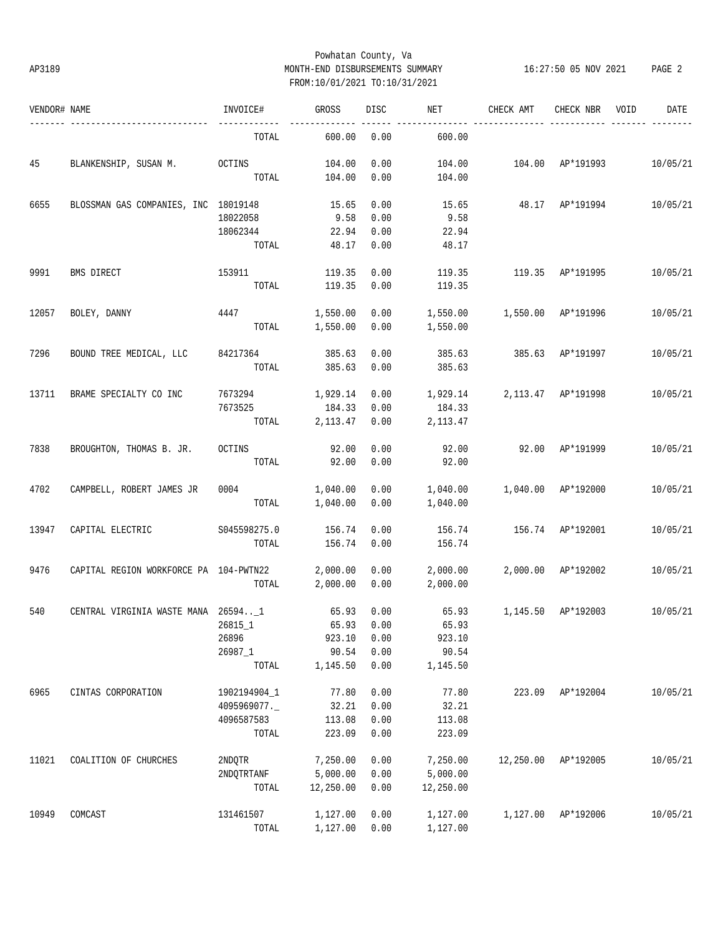# Powhatan County, Va AP3189 MONTH-END DISBURSEMENTS SUMMARY 16:27:50 05 NOV 2021 PAGE 2 FROM:10/01/2021 TO:10/31/2021

| VENDOR# NAME |                                        | INVOICE#     | GROSS     | DISC | NET       | CHECK AMT                | CHECK NBR          | VOID | DATE     |
|--------------|----------------------------------------|--------------|-----------|------|-----------|--------------------------|--------------------|------|----------|
|              | ---------------------                  | TOTAL        | 600.00    | 0.00 | 600.00    |                          |                    |      |          |
| 45           | BLANKENSHIP, SUSAN M. OCTINS           |              | 104.00    | 0.00 | 104.00    | 104.00 AP*191993         |                    |      | 10/05/21 |
|              |                                        | TOTAL        | 104.00    | 0.00 | 104.00    |                          |                    |      |          |
| 6655         | BLOSSMAN GAS COMPANIES, INC 18019148   |              | 15.65     | 0.00 | 15.65     |                          | 48.17 AP*191994    |      | 10/05/21 |
|              |                                        | 18022058     | 9.58      | 0.00 | 9.58      |                          |                    |      |          |
|              |                                        | 18062344     | 22.94     | 0.00 | 22.94     |                          |                    |      |          |
|              |                                        | TOTAL        | 48.17     | 0.00 | 48.17     |                          |                    |      |          |
| 9991         | BMS DIRECT                             | 153911       | 119.35    | 0.00 | 119.35    | 119.35 AP*191995         |                    |      | 10/05/21 |
|              |                                        | TOTAL        | 119.35    | 0.00 | 119.35    |                          |                    |      |          |
| 12057        | BOLEY, DANNY                           | 4447         | 1,550.00  | 0.00 | 1,550.00  | 1,550.00 AP*191996       |                    |      | 10/05/21 |
|              |                                        | TOTAL        | 1,550.00  | 0.00 | 1,550.00  |                          |                    |      |          |
| 7296         | BOUND TREE MEDICAL, LLC                | 84217364     | 385.63    | 0.00 | 385.63    |                          | 385.63 AP*191997   |      | 10/05/21 |
|              |                                        | TOTAL        | 385.63    | 0.00 | 385.63    |                          |                    |      |          |
| 13711        | BRAME SPECIALTY CO INC                 | 7673294      | 1,929.14  | 0.00 | 1,929.14  |                          | 2,113.47 AP*191998 |      | 10/05/21 |
|              |                                        | 7673525      | 184.33    | 0.00 | 184.33    |                          |                    |      |          |
|              |                                        | TOTAL        | 2,113.47  | 0.00 | 2,113.47  |                          |                    |      |          |
| 7838         | BROUGHTON, THOMAS B. JR.               | OCTINS       | 92.00     | 0.00 | 92.00     | 92.00 AP*191999          |                    |      | 10/05/21 |
|              |                                        | TOTAL        | 92.00     | 0.00 | 92.00     |                          |                    |      |          |
| 4702         | CAMPBELL, ROBERT JAMES JR              | 0004         | 1,040.00  | 0.00 | 1,040.00  | 1,040.00 AP*192000       |                    |      | 10/05/21 |
|              |                                        | TOTAL        | 1,040.00  | 0.00 | 1,040.00  |                          |                    |      |          |
| 13947        | CAPITAL ELECTRIC                       | S045598275.0 | 156.74    | 0.00 | 156.74    | 156.74 AP*192001         |                    |      | 10/05/21 |
|              |                                        | TOTAL        | 156.74    | 0.00 | 156.74    |                          |                    |      |          |
| 9476         | CAPITAL REGION WORKFORCE PA 104-PWTN22 |              | 2,000.00  | 0.00 | 2,000.00  |                          | 2,000.00 AP*192002 |      | 10/05/21 |
|              |                                        | TOTAL        | 2,000.00  | 0.00 | 2,000.00  |                          |                    |      |          |
| 540          | CENTRAL VIRGINIA WASTE MANA 265941     |              | 65.93     | 0.00 |           | 65.93 1,145.50 AP*192003 |                    |      | 10/05/21 |
|              |                                        | 26815_1      | 65.93     | 0.00 | 65.93     |                          |                    |      |          |
|              |                                        | 26896        | 923.10    | 0.00 | 923.10    |                          |                    |      |          |
|              |                                        | 26987_1      | 90.54     | 0.00 | 90.54     |                          |                    |      |          |
|              |                                        | TOTAL        | 1,145.50  | 0.00 | 1,145.50  |                          |                    |      |          |
| 6965         | CINTAS CORPORATION                     | 1902194904_1 | 77.80     | 0.00 | 77.80     | 223.09                   | AP*192004          |      | 10/05/21 |
|              |                                        | 4095969077.  | 32.21     | 0.00 | 32.21     |                          |                    |      |          |
|              |                                        | 4096587583   | 113.08    | 0.00 | 113.08    |                          |                    |      |          |
|              |                                        | TOTAL        | 223.09    | 0.00 | 223.09    |                          |                    |      |          |
| 11021        | COALITION OF CHURCHES                  | 2NDQTR       | 7,250.00  | 0.00 | 7,250.00  | 12,250.00                | AP*192005          |      | 10/05/21 |
|              |                                        | 2NDQTRTANF   | 5,000.00  | 0.00 | 5,000.00  |                          |                    |      |          |
|              |                                        | TOTAL        | 12,250.00 | 0.00 | 12,250.00 |                          |                    |      |          |
| 10949        | COMCAST                                | 131461507    | 1,127.00  | 0.00 | 1,127.00  | 1,127.00                 | AP*192006          |      | 10/05/21 |
|              |                                        | TOTAL        | 1,127.00  | 0.00 | 1,127.00  |                          |                    |      |          |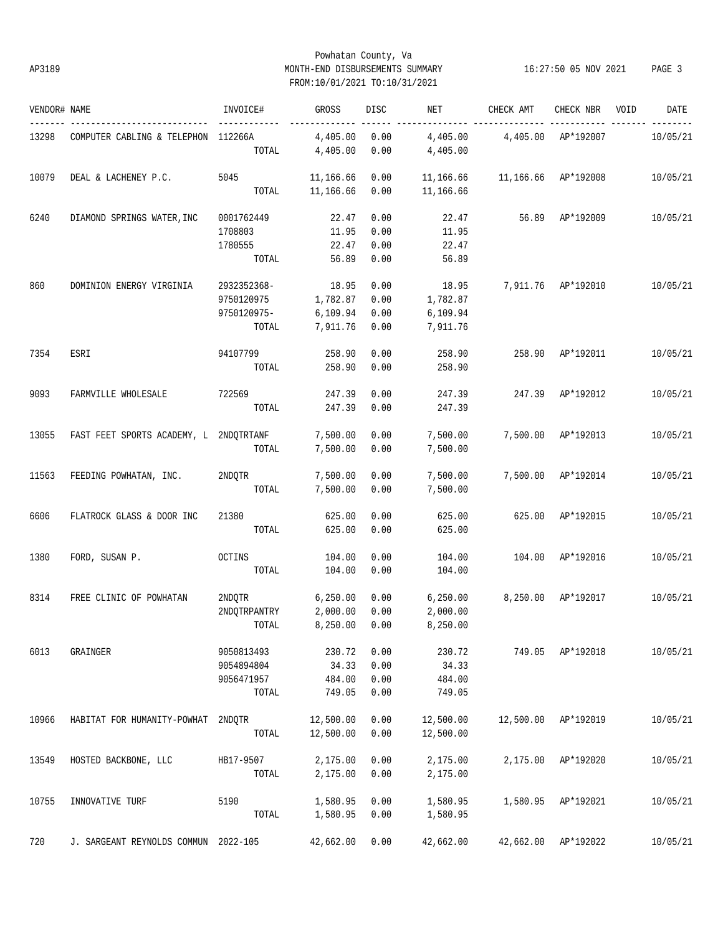# Powhatan County, Va AP3189 MONTH-END DISBURSEMENTS SUMMARY 16:27:50 05 NOV 2021 PAGE 3 FROM:10/01/2021 TO:10/31/2021

| VENDOR# NAME |                                        | INVOICE#                                          | GROSS                                     | DISC                         | NET                                       | CHECK AMT           | CHECK NBR                 | VOID | DATE     |
|--------------|----------------------------------------|---------------------------------------------------|-------------------------------------------|------------------------------|-------------------------------------------|---------------------|---------------------------|------|----------|
| 13298        | COMPUTER CABLING & TELEPHON 112266A    | TOTAL                                             | 4,405.00<br>4,405.00                      | 0.00<br>0.00                 | 4,405.00<br>4,405.00                      | 4,405.00            | ----- ------<br>AP*192007 |      | 10/05/21 |
| 10079        | DEAL & LACHENEY P.C.                   | 5045<br>TOTAL                                     | 11,166.66<br>11,166.66                    | 0.00<br>0.00                 | 11,166.66<br>11,166.66                    | 11,166.66 AP*192008 |                           |      | 10/05/21 |
| 6240         | DIAMOND SPRINGS WATER, INC             | 0001762449<br>1708803<br>1780555<br>TOTAL         | 22.47<br>11.95<br>22.47<br>56.89          | 0.00<br>0.00<br>0.00<br>0.00 | 22.47<br>11.95<br>22.47<br>56.89          |                     | 56.89 AP*192009           |      | 10/05/21 |
| 860          | DOMINION ENERGY VIRGINIA               | 2932352368-<br>9750120975<br>9750120975-<br>TOTAL | 18.95<br>1,782.87<br>6,109.94<br>7,911.76 | 0.00<br>0.00<br>0.00<br>0.00 | 18.95<br>1,782.87<br>6,109.94<br>7,911.76 |                     | 7,911.76 AP*192010        |      | 10/05/21 |
| 7354         | ESRI                                   | 94107799 258.90<br>TOTAL                          | 258.90                                    | 0.00<br>0.00                 | 258.90<br>258.90                          | 258.90              | AP*192011                 |      | 10/05/21 |
| 9093         | FARMVILLE WHOLESALE                    | 722569<br>TOTAL                                   | 247.39<br>247.39                          | 0.00<br>0.00                 | 247.39<br>247.39                          | 247.39              | AP*192012                 |      | 10/05/21 |
| 13055        | FAST FEET SPORTS ACADEMY, L 2NDOTRTANF | TOTAL                                             | 7,500.00<br>7,500.00                      | 0.00<br>0.00                 | 7,500.00<br>7,500.00                      |                     | 7,500.00 AP*192013        |      | 10/05/21 |
| 11563        | FEEDING POWHATAN, INC.                 | 2NDQTR<br>TOTAL                                   | 7,500.00<br>7,500.00                      | 0.00<br>0.00                 | 7,500.00<br>7,500.00                      |                     | 7,500.00 AP*192014        |      | 10/05/21 |
| 6606         | FLATROCK GLASS & DOOR INC              | 21380<br>TOTAL                                    | 625.00<br>625.00                          | 0.00<br>0.00                 | 625.00<br>625.00                          |                     | 625.00 AP*192015          |      | 10/05/21 |
| 1380         | FORD, SUSAN P.                         | OCTINS<br>TOTAL                                   | 104.00<br>104.00                          | 0.00<br>0.00                 | 104.00<br>104.00                          |                     | 104.00 AP*192016          |      | 10/05/21 |
| 8314         | FREE CLINIC OF POWHATAN                | 2NDQTR<br>2NDQTRPANTRY<br>TOTAL 8,250.00 0.00     | 6,250.00<br>2,000.00                      | 0.00<br>0.00                 | 6,250.00<br>2,000.00<br>8,250.00          | 8,250.00 AP*192017  |                           |      | 10/05/21 |
| 6013         | GRAINGER                               | 9050813493<br>9054894804<br>9056471957<br>TOTAL   | 230.72<br>34.33<br>484.00<br>749.05       | 0.00<br>0.00<br>0.00<br>0.00 | 230.72<br>34.33<br>484.00<br>749.05       |                     | 749.05 AP*192018          |      | 10/05/21 |
| 10966        | HABITAT FOR HUMANITY-POWHAT            | 2NDQTR<br>TOTAL                                   | 12,500.00<br>12,500.00                    | 0.00<br>0.00                 | 12,500.00<br>12,500.00                    |                     | 12,500.00 AP*192019       |      | 10/05/21 |
| 13549        | HOSTED BACKBONE, LLC                   | HB17-9507<br>TOTAL                                | 2,175.00<br>2,175.00                      | 0.00<br>0.00                 | 2,175.00<br>2,175.00                      | 2,175.00            | AP*192020                 |      | 10/05/21 |
| 10755        | INNOVATIVE TURF                        | 5190<br>TOTAL                                     | 1,580.95<br>1,580.95                      | 0.00<br>0.00                 | 1,580.95<br>1,580.95                      | 1,580.95            | AP*192021                 |      | 10/05/21 |
| 720          | J. SARGEANT REYNOLDS COMMUN 2022-105   |                                                   | 42,662.00                                 | 0.00                         | 42,662.00                                 |                     | 42,662.00 AP*192022       |      | 10/05/21 |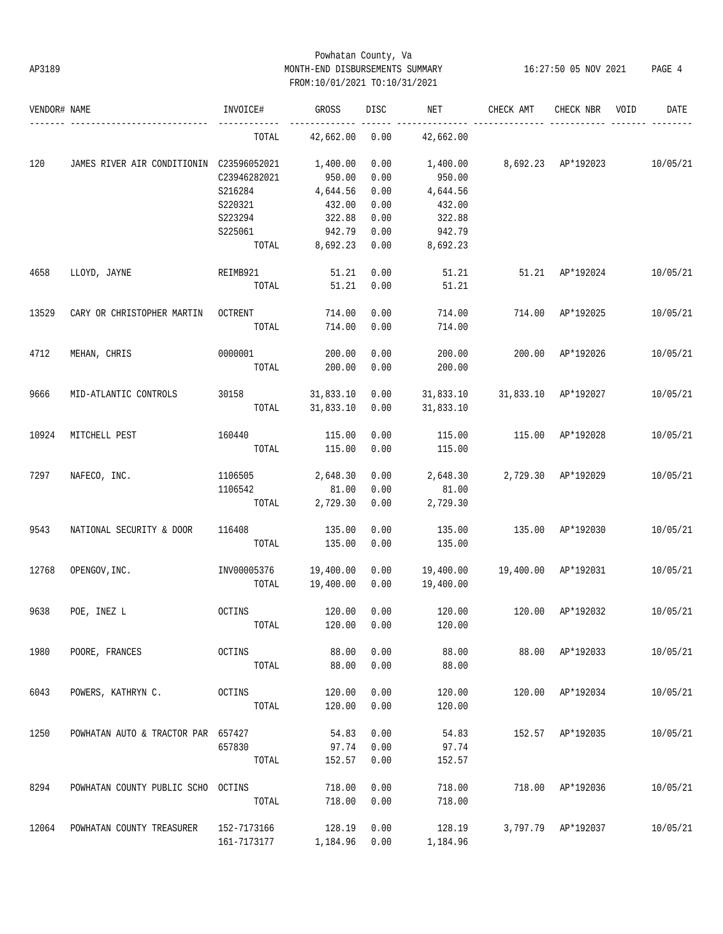# Powhatan County, Va AP3189 MONTH-END DISBURSEMENTS SUMMARY 16:27:50 05 NOV 2021 PAGE 4 FROM:10/01/2021 TO:10/31/2021

| VENDOR# NAME |                                          | INVOICE#     | GROSS     | DISC | NET       | CHECK AMT | CHECK NBR          | VOID | DATE     |
|--------------|------------------------------------------|--------------|-----------|------|-----------|-----------|--------------------|------|----------|
|              |                                          | TOTAL        | 42,662.00 | 0.00 | 42,662.00 |           |                    |      |          |
| 120          | JAMES RIVER AIR CONDITIONIN C23596052021 |              | 1,400.00  | 0.00 | 1,400.00  |           | 8,692.23 AP*192023 |      | 10/05/21 |
|              |                                          | C23946282021 | 950.00    | 0.00 | 950.00    |           |                    |      |          |
|              |                                          | S216284      | 4,644.56  | 0.00 | 4,644.56  |           |                    |      |          |
|              |                                          | S220321      | 432.00    | 0.00 | 432.00    |           |                    |      |          |
|              |                                          | S223294      | 322.88    | 0.00 | 322.88    |           |                    |      |          |
|              |                                          |              |           |      |           |           |                    |      |          |
|              |                                          | S225061      | 942.79    | 0.00 | 942.79    |           |                    |      |          |
|              |                                          | TOTAL        | 8,692.23  | 0.00 | 8,692.23  |           |                    |      |          |
| 4658         | LLOYD, JAYNE                             | REIMB921     | 51.21     | 0.00 | 51.21     | 51.21     | AP*192024          |      | 10/05/21 |
|              |                                          | TOTAL        | 51.21     | 0.00 | 51.21     |           |                    |      |          |
| 13529        | CARY OR CHRISTOPHER MARTIN               | OCTRENT      | 714.00    | 0.00 | 714.00    | 714.00    | AP*192025          |      | 10/05/21 |
|              |                                          | TOTAL        | 714.00    | 0.00 | 714.00    |           |                    |      |          |
| 4712         | MEHAN, CHRIS                             | 0000001      | 200.00    | 0.00 | 200.00    | 200.00    | AP*192026          |      | 10/05/21 |
|              |                                          | TOTAL        | 200.00    | 0.00 | 200.00    |           |                    |      |          |
| 9666         | MID-ATLANTIC CONTROLS                    | 30158        | 31,833.10 | 0.00 | 31,833.10 | 31,833.10 | AP*192027          |      | 10/05/21 |
|              |                                          | TOTAL        | 31,833.10 | 0.00 | 31,833.10 |           |                    |      |          |
|              |                                          |              |           |      |           |           |                    |      |          |
| 10924        | MITCHELL PEST                            | 160440       | 115.00    | 0.00 | 115.00    | 115.00    | AP*192028          |      | 10/05/21 |
|              |                                          | TOTAL        | 115.00    | 0.00 | 115.00    |           |                    |      |          |
| 7297         | NAFECO, INC.                             | 1106505      | 2,648.30  | 0.00 | 2,648.30  | 2,729.30  | AP*192029          |      | 10/05/21 |
|              |                                          | 1106542      | 81.00     | 0.00 | 81.00     |           |                    |      |          |
|              |                                          | TOTAL        | 2,729.30  | 0.00 | 2,729.30  |           |                    |      |          |
| 9543         | NATIONAL SECURITY & DOOR                 | 116408       | 135.00    | 0.00 | 135.00    | 135.00    | AP*192030          |      | 10/05/21 |
|              |                                          |              |           |      |           |           |                    |      |          |
|              |                                          | TOTAL        | 135.00    | 0.00 | 135.00    |           |                    |      |          |
| 12768        | OPENGOV, INC.                            | INV00005376  | 19,400.00 | 0.00 | 19,400.00 | 19,400.00 | AP*192031          |      | 10/05/21 |
|              |                                          | TOTAL        | 19,400.00 | 0.00 | 19,400.00 |           |                    |      |          |
| 9638         | POE, INEZ L                              | OCTINS       | 120.00    | 0.00 | 120.00    | 120.00    | AP*192032          |      | 10/05/21 |
|              |                                          | TOTAL        | 120.00    | 0.00 | 120.00    |           |                    |      |          |
|              |                                          |              |           |      |           |           |                    |      |          |
| 1980         | POORE, FRANCES                           | OCTINS       | 88.00     | 0.00 | 88.00     | 88.00     | AP*192033          |      | 10/05/21 |
|              |                                          | TOTAL        | 88.00     | 0.00 | 88.00     |           |                    |      |          |
| 6043         | POWERS, KATHRYN C.                       | OCTINS       | 120.00    | 0.00 | 120.00    | 120.00    | AP*192034          |      | 10/05/21 |
|              |                                          | TOTAL        | 120.00    | 0.00 | 120.00    |           |                    |      |          |
|              |                                          |              |           |      |           |           |                    |      |          |
| 1250         | POWHATAN AUTO & TRACTOR PAR 657427       |              | 54.83     | 0.00 | 54.83     | 152.57    | AP*192035          |      | 10/05/21 |
|              |                                          | 657830       | 97.74     | 0.00 | 97.74     |           |                    |      |          |
|              |                                          | TOTAL        | 152.57    | 0.00 | 152.57    |           |                    |      |          |
| 8294         | POWHATAN COUNTY PUBLIC SCHO OCTINS       |              | 718.00    | 0.00 | 718.00    | 718.00    | AP*192036          |      | 10/05/21 |
|              |                                          | TOTAL        | 718.00    | 0.00 | 718.00    |           |                    |      |          |
|              |                                          |              |           |      |           |           |                    |      |          |
| 12064        | POWHATAN COUNTY TREASURER                | 152-7173166  | 128.19    | 0.00 | 128.19    |           | 3,797.79 AP*192037 |      | 10/05/21 |
|              |                                          | 161-7173177  | 1,184.96  | 0.00 | 1,184.96  |           |                    |      |          |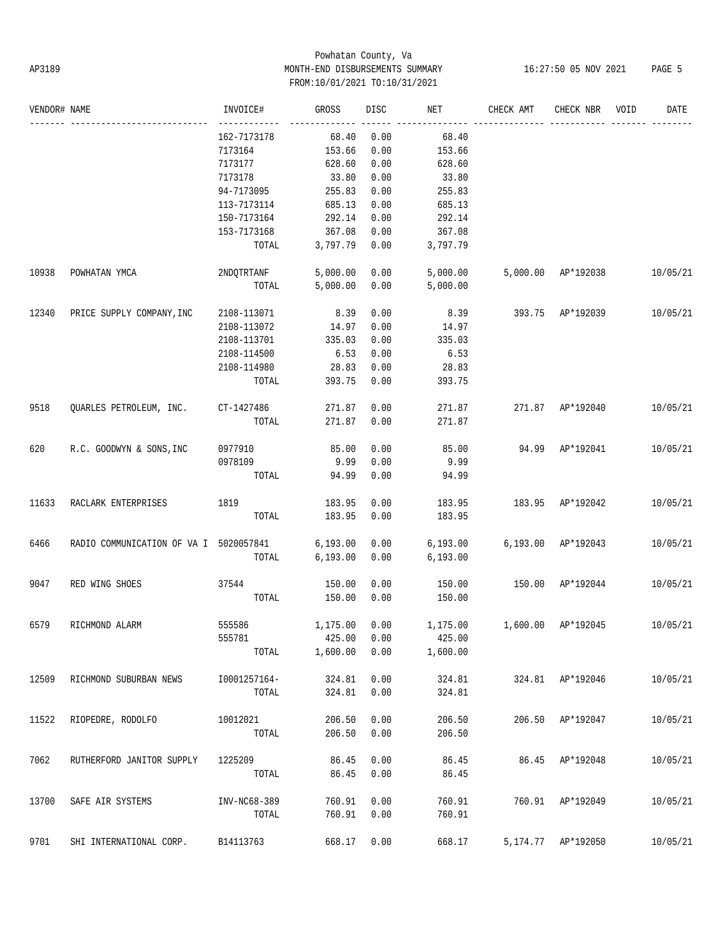# Powhatan County, Va AP3189 MONTH-END DISBURSEMENTS SUMMARY 16:27:50 05 NOV 2021 PAGE 5 FROM:10/01/2021 TO:10/31/2021

| VENDOR# NAME |                                        | INVOICE#     | GROSS     | <b>DISC</b> | NET       | CHECK AMT | CHECK NBR          | VOID | DATE     |
|--------------|----------------------------------------|--------------|-----------|-------------|-----------|-----------|--------------------|------|----------|
|              |                                        | 162-7173178  | 68.40     | 0.00        | 68.40     |           |                    |      |          |
|              |                                        | 7173164      | 153.66    | 0.00        | 153.66    |           |                    |      |          |
|              |                                        | 7173177      | 628.60    | 0.00        | 628.60    |           |                    |      |          |
|              |                                        | 7173178      | 33.80     | 0.00        | 33.80     |           |                    |      |          |
|              |                                        | 94-7173095   | 255.83    | 0.00        | 255.83    |           |                    |      |          |
|              |                                        | 113-7173114  | 685.13    | 0.00        | 685.13    |           |                    |      |          |
|              |                                        | 150-7173164  | 292.14    | 0.00        | 292.14    |           |                    |      |          |
|              |                                        | 153-7173168  | 367.08    | 0.00        | 367.08    |           |                    |      |          |
|              |                                        | TOTAL        | 3,797.79  | 0.00        | 3,797.79  |           |                    |      |          |
| 10938        | POWHATAN YMCA                          | 2NDQTRTANF   | 5,000.00  | 0.00        | 5,000.00  |           | 5,000.00 AP*192038 |      | 10/05/21 |
|              |                                        | TOTAL        | 5,000.00  | 0.00        | 5,000.00  |           |                    |      |          |
| 12340        | PRICE SUPPLY COMPANY, INC              | 2108-113071  | 8.39      | 0.00        | 8.39      | 393.75    | AP*192039          |      | 10/05/21 |
|              |                                        | 2108-113072  | 14.97     | 0.00        | 14.97     |           |                    |      |          |
|              |                                        | 2108-113701  | 335.03    | 0.00        | 335.03    |           |                    |      |          |
|              |                                        | 2108-114500  | 6.53      | 0.00        | 6.53      |           |                    |      |          |
|              |                                        | 2108-114980  | 28.83     | 0.00        | 28.83     |           |                    |      |          |
|              |                                        | TOTAL        | 393.75    | 0.00        | 393.75    |           |                    |      |          |
| 9518         | QUARLES PETROLEUM, INC.                | CT-1427486   | 271.87    | 0.00        | 271.87    |           | 271.87 AP*192040   |      | 10/05/21 |
|              |                                        | TOTAL        | 271.87    | 0.00        | 271.87    |           |                    |      |          |
| 620          | R.C. GOODWYN & SONS, INC               | 0977910      | 85.00     | 0.00        | 85.00     | 94.99     | AP*192041          |      | 10/05/21 |
|              |                                        | 0978109      | 9.99      | 0.00        | 9.99      |           |                    |      |          |
|              |                                        | TOTAL        | 94.99     | 0.00        | 94.99     |           |                    |      |          |
| 11633        | RACLARK ENTERPRISES                    | 1819         | 183.95    | 0.00        | 183.95    | 183.95    | AP*192042          |      | 10/05/21 |
|              |                                        | TOTAL        | 183.95    | 0.00        | 183.95    |           |                    |      |          |
| 6466         | RADIO COMMUNICATION OF VA I 5020057841 |              | 6, 193.00 | 0.00        | 6, 193.00 |           | 6,193.00 AP*192043 |      | 10/05/21 |
|              |                                        | TOTAL        | 6, 193.00 | 0.00        | 6, 193.00 |           |                    |      |          |
| 9047         | RED WING SHOES                         | 37544        | 150.00    | 0.00        | 150.00    | 150.00    | AP*192044          |      | 10/05/21 |
|              |                                        | TOTAL        | 150.00    | 0.00        | 150.00    |           |                    |      |          |
| 6579         | RICHMOND ALARM                         | 555586       | 1,175.00  | 0.00        | 1,175.00  |           | 1,600.00 AP*192045 |      | 10/05/21 |
|              |                                        | 555781       | 425.00    | 0.00        | 425.00    |           |                    |      |          |
|              |                                        | TOTAL        | 1,600.00  | 0.00        | 1,600.00  |           |                    |      |          |
| 12509        | RICHMOND SUBURBAN NEWS                 | I0001257164- | 324.81    | 0.00        | 324.81    |           | 324.81 AP*192046   |      | 10/05/21 |
|              |                                        | TOTAL        | 324.81    | 0.00        | 324.81    |           |                    |      |          |
| 11522        | RIOPEDRE, RODOLFO                      | 10012021     | 206.50    | 0.00        | 206.50    | 206.50    | AP*192047          |      | 10/05/21 |
|              |                                        | TOTAL        | 206.50    | 0.00        | 206.50    |           |                    |      |          |
| 7062         | RUTHERFORD JANITOR SUPPLY              | 1225209      | 86.45     | 0.00        | 86.45     |           | 86.45 AP*192048    |      | 10/05/21 |
|              |                                        | TOTAL        | 86.45     | 0.00        | 86.45     |           |                    |      |          |
| 13700        | SAFE AIR SYSTEMS                       | INV-NC68-389 | 760.91    | 0.00        | 760.91    |           | 760.91 AP*192049   |      | 10/05/21 |
|              |                                        | TOTAL        | 760.91    | 0.00        | 760.91    |           |                    |      |          |
| 9701         | SHI INTERNATIONAL CORP.                | B14113763    | 668.17    | 0.00        | 668.17    |           | 5,174.77 AP*192050 |      | 10/05/21 |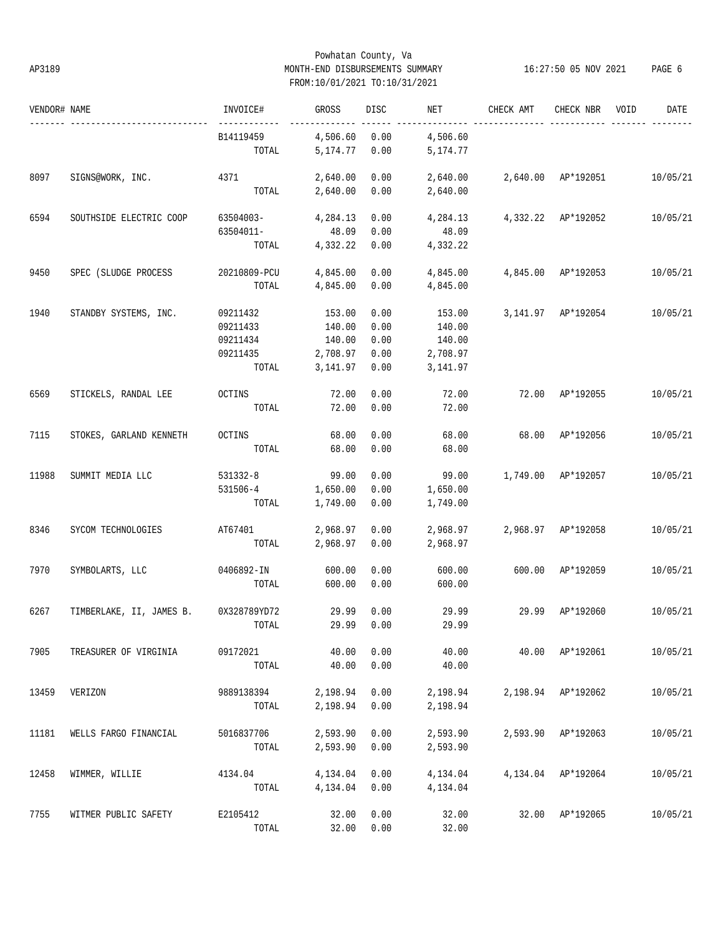# Powhatan County, Va AP3189 MONTH-END DISBURSEMENTS SUMMARY 16:27:50 05 NOV 2021 PAGE 6 FROM:10/01/2021 TO:10/31/2021

| VENDOR# NAME |                          | INVOICE#                                              | GROSS                                              | DISC                                 | NET                                                | CHECK AMT | CHECK NBR          | VOID<br>DATE |
|--------------|--------------------------|-------------------------------------------------------|----------------------------------------------------|--------------------------------------|----------------------------------------------------|-----------|--------------------|--------------|
|              |                          | B14119459<br>TOTAL                                    | 4,506.60<br>5,174.77                               | 0.00<br>0.00                         | 4,506.60<br>5,174.77                               |           |                    |              |
| 8097         | SIGNS@WORK, INC.         | 4371<br>TOTAL                                         | 2,640.00<br>2,640.00                               | 0.00<br>0.00                         | 2,640.00<br>2,640.00                               |           | 2,640.00 AP*192051 | 10/05/21     |
| 6594         | SOUTHSIDE ELECTRIC COOP  | 63504003-<br>63504011-<br>TOTAL                       | 4,284.13<br>48.09<br>4,332.22                      | 0.00<br>0.00<br>0.00                 | 4,284.13<br>48.09<br>4,332.22                      |           | 4,332.22 AP*192052 | 10/05/21     |
| 9450         | SPEC (SLUDGE PROCESS     | 20210809-PCU<br>TOTAL                                 | 4,845.00<br>4,845.00                               | 0.00<br>0.00                         | 4,845.00<br>4,845.00                               |           | 4,845.00 AP*192053 | 10/05/21     |
| 1940         | STANDBY SYSTEMS, INC.    | 09211432<br>09211433<br>09211434<br>09211435<br>TOTAL | 153.00<br>140.00<br>140.00<br>2,708.97<br>3,141.97 | 0.00<br>0.00<br>0.00<br>0.00<br>0.00 | 153.00<br>140.00<br>140.00<br>2,708.97<br>3,141.97 |           | 3,141.97 AP*192054 | 10/05/21     |
| 6569         | STICKELS, RANDAL LEE     | OCTINS<br>TOTAL                                       | 72.00<br>72.00                                     | 0.00<br>0.00                         | 72.00<br>72.00                                     | 72.00     | AP*192055          | 10/05/21     |
| 7115         | STOKES, GARLAND KENNETH  | OCTINS<br>TOTAL                                       | 68.00<br>68.00                                     | 0.00<br>0.00                         | 68.00<br>68.00                                     | 68.00     | AP*192056          | 10/05/21     |
| 11988        | SUMMIT MEDIA LLC         | 531332-8<br>531506-4<br>TOTAL                         | 99.00<br>1,650.00<br>1,749.00                      | 0.00<br>0.00<br>0.00                 | 99.00<br>1,650.00<br>1,749.00                      |           | 1,749.00 AP*192057 | 10/05/21     |
| 8346         | SYCOM TECHNOLOGIES       | AT67401<br>TOTAL                                      | 2,968.97<br>2,968.97                               | 0.00<br>0.00                         | 2,968.97<br>2,968.97                               |           | 2,968.97 AP*192058 | 10/05/21     |
| 7970         | SYMBOLARTS, LLC          | 0406892-IN<br>TOTAL                                   | 600.00<br>600.00                                   | 0.00<br>0.00                         | 600.00<br>600.00                                   | 600.00    | AP*192059          | 10/05/21     |
| 6267         | TIMBERLAKE, II, JAMES B. | 0X328789YD72<br>TOTAL                                 | 29.99                                              | 0.00<br>29.99 0.00                   | 29.99<br>29.99                                     | 29.99     | AP*192060          | 10/05/21     |
| 7905         | TREASURER OF VIRGINIA    | 09172021<br>TOTAL                                     | 40.00<br>40.00                                     | 0.00<br>0.00                         | 40.00<br>40.00                                     |           | 40.00 AP*192061    | 10/05/21     |
| 13459        | VERIZON                  | 9889138394<br>TOTAL                                   | 2,198.94<br>2,198.94                               | 0.00<br>0.00                         | 2,198.94<br>2,198.94                               |           | 2,198.94 AP*192062 | 10/05/21     |
| 11181        | WELLS FARGO FINANCIAL    | 5016837706<br>TOTAL                                   | 2,593.90<br>2,593.90 0.00                          | 0.00                                 | 2,593.90<br>2,593.90                               |           | 2,593.90 AP*192063 | 10/05/21     |
| 12458        | WIMMER, WILLIE           | 4134.04<br>TOTAL                                      | 4,134.04<br>4,134.04                               | 0.00<br>0.00                         | 4,134.04<br>4,134.04                               |           | 4,134.04 AP*192064 | 10/05/21     |
| 7755         | WITMER PUBLIC SAFETY     | E2105412<br>TOTAL                                     | 32.00                                              | 0.00<br>32.00 0.00                   | 32.00<br>32.00                                     |           | 32.00 AP*192065    | 10/05/21     |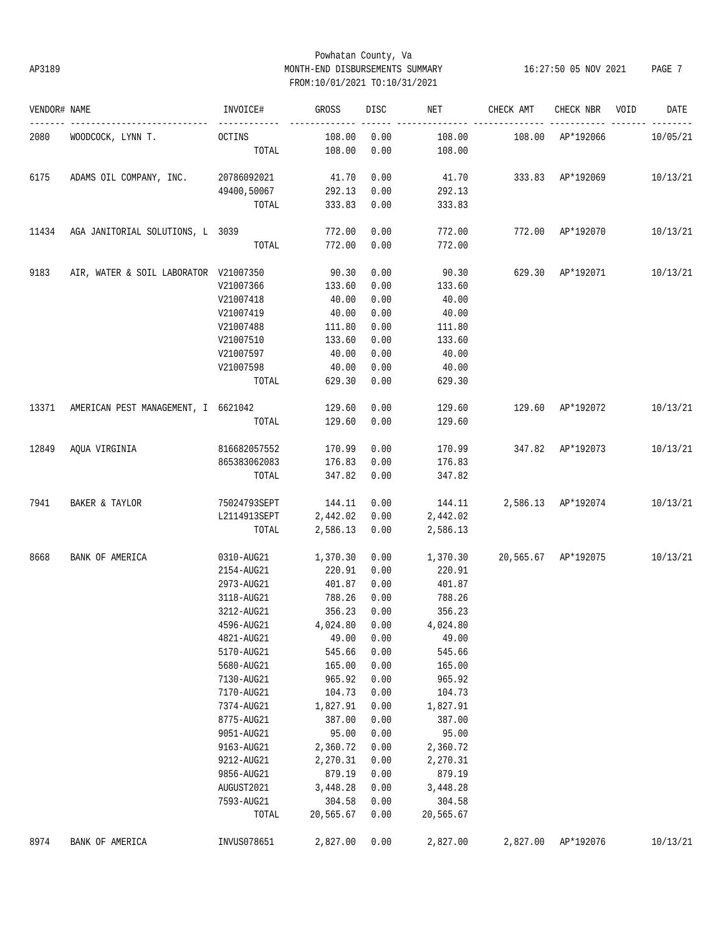# Powhatan County, Va AP3189 MONTH-END DISBURSEMENTS SUMMARY 16:27:50 05 NOV 2021 PAGE 7 FROM:10/01/2021 TO:10/31/2021

| VENDOR# NAME |                                           | INVOICE#                 | GROSS     | DISC | NET       | CHECK AMT                                | CHECK NBR | VOID | DATE     |
|--------------|-------------------------------------------|--------------------------|-----------|------|-----------|------------------------------------------|-----------|------|----------|
| 2080         | WOODCOCK, LYNN T.                         | -------------<br>OCTINS  | 108.00    | 0.00 | 108.00    | 108.00 AP*192066                         |           |      | 10/05/21 |
|              |                                           | TOTAL                    | 108.00    | 0.00 | 108.00    |                                          |           |      |          |
| 6175         | ADAMS OIL COMPANY, INC. 20786092021 41.70 |                          |           | 0.00 |           | 41.70 333.83 AP*192069 10/13/21          |           |      |          |
|              |                                           | 49400,50067 292.13       |           | 0.00 | 292.13    |                                          |           |      |          |
|              |                                           | TOTAL                    | 333.83    | 0.00 | 333.83    |                                          |           |      |          |
| 11434        | AGA JANITORIAL SOLUTIONS, L 3039          |                          | 772.00    | 0.00 | 772.00    | 772.00 AP*192070                         |           |      | 10/13/21 |
|              |                                           | TOTAL                    | 772.00    | 0.00 | 772.00    |                                          |           |      |          |
| 9183         | AIR, WATER & SOIL LABORATOR V21007350     |                          | 90.30     | 0.00 |           | 90.30 629.30 AP*192071                   |           |      | 10/13/21 |
|              |                                           | V21007366                | 133.60    | 0.00 | 133.60    |                                          |           |      |          |
|              |                                           | V21007418                | 40.00     | 0.00 | 40.00     |                                          |           |      |          |
|              |                                           | V21007419                | 40.00     | 0.00 | 40.00     |                                          |           |      |          |
|              |                                           | V21007488                | 111.80    | 0.00 | 111.80    |                                          |           |      |          |
|              |                                           | V21007510                | 133.60    | 0.00 | 133.60    |                                          |           |      |          |
|              |                                           | V21007597                | 40.00     | 0.00 | 40.00     |                                          |           |      |          |
|              |                                           | V21007598                | 40.00     | 0.00 | 40.00     |                                          |           |      |          |
|              |                                           | TOTAL                    | 629.30    | 0.00 | 629.30    |                                          |           |      |          |
|              | 13371 AMERICAN PEST MANAGEMENT, I 6621042 |                          | 129.60    | 0.00 | 129.60    | 129.60 AP*192072                         |           |      | 10/13/21 |
|              |                                           | TOTAL                    | 129.60    | 0.00 | 129.60    |                                          |           |      |          |
|              | 12849 AQUA VIRGINIA                       | 816682057552             | 170.99    | 0.00 |           | 170.99 347.82 AP*192073                  |           |      | 10/13/21 |
|              |                                           | 865383062083             | 176.83    | 0.00 | 176.83    |                                          |           |      |          |
|              |                                           | TOTAL                    | 347.82    | 0.00 | 347.82    |                                          |           |      |          |
| 7941         | BAKER & TAYLOR                            | 75024793SEPT 144.11      |           | 0.00 | 144.11    | 2,586.13 AP*192074 10/13/21              |           |      |          |
|              |                                           | L2114913SEPT 2,442.02    |           | 0.00 | 2,442.02  |                                          |           |      |          |
|              |                                           | TOTAL                    | 2,586.13  | 0.00 | 2,586.13  |                                          |           |      |          |
| 8668         | BANK OF AMERICA                           | 0310-AUG21               | 1,370.30  | 0.00 |           | 1,370.30  20,565.67  AP*192075  10/13/21 |           |      |          |
|              |                                           | 2154-AUG21               | 220.91    | 0.00 | 220.91    |                                          |           |      |          |
|              |                                           | 2973-AUG21               | 401.87    | 0.00 | 401.87    |                                          |           |      |          |
|              |                                           | 3118-AUG21               | 788.26    | 0.00 | 788.26    |                                          |           |      |          |
|              |                                           | 3212-AUG21               | 356.23    | 0.00 | 356.23    |                                          |           |      |          |
|              |                                           | 4596-AUG21 4,024.80 0.00 |           |      | 4,024.80  |                                          |           |      |          |
|              |                                           | 4821-AUG21               | 49.00     | 0.00 | 49.00     |                                          |           |      |          |
|              |                                           | 5170-AUG21               | 545.66    | 0.00 | 545.66    |                                          |           |      |          |
|              |                                           | 5680-AUG21               | 165.00    | 0.00 | 165.00    |                                          |           |      |          |
|              |                                           | 7130-AUG21               | 965.92    | 0.00 | 965.92    |                                          |           |      |          |
|              |                                           | 7170-AUG21               | 104.73    | 0.00 | 104.73    |                                          |           |      |          |
|              |                                           | 7374-AUG21               | 1,827.91  | 0.00 | 1,827.91  |                                          |           |      |          |
|              |                                           | 8775-AUG21               | 387.00    | 0.00 | 387.00    |                                          |           |      |          |
|              |                                           | 9051-AUG21               | 95.00     | 0.00 | 95.00     |                                          |           |      |          |
|              |                                           | 9163-AUG21               | 2,360.72  | 0.00 | 2,360.72  |                                          |           |      |          |
|              |                                           | 9212-AUG21               | 2,270.31  | 0.00 | 2,270.31  |                                          |           |      |          |
|              |                                           | 9856-AUG21               | 879.19    | 0.00 | 879.19    |                                          |           |      |          |
|              |                                           | AUGUST2021               | 3,448.28  | 0.00 | 3,448.28  |                                          |           |      |          |
|              |                                           | 7593-AUG21               | 304.58    | 0.00 | 304.58    |                                          |           |      |          |
|              |                                           | TOTAL                    | 20,565.67 | 0.00 | 20,565.67 |                                          |           |      |          |
| 8974         | BANK OF AMERICA                           | INVUS078651              | 2,827.00  | 0.00 | 2,827.00  | 2,827.00                                 | AP*192076 |      | 10/13/21 |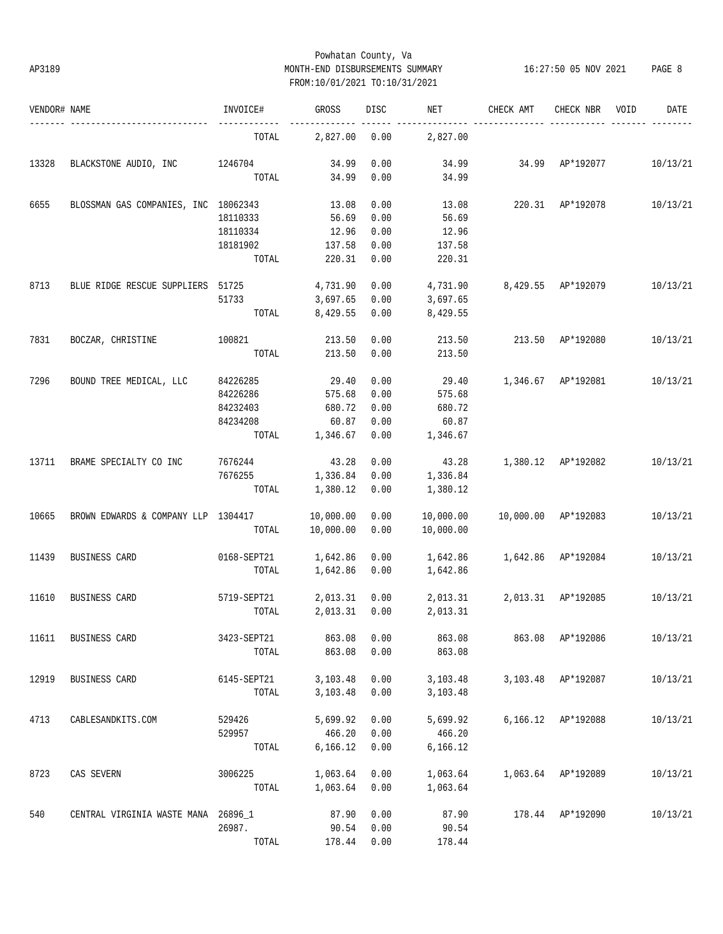# Powhatan County, Va AP3189 MONTH-END DISBURSEMENTS SUMMARY 16:27:50 05 NOV 2021 PAGE 8 FROM:10/01/2021 TO:10/31/2021

| VENDOR# NAME |                                      | INVOICE#    | GROSS          | DISC | NET       | CHECK AMT           | CHECK NBR          | VOID | DATE     |
|--------------|--------------------------------------|-------------|----------------|------|-----------|---------------------|--------------------|------|----------|
|              |                                      | TOTAL       | 2,827.00       | 0.00 | 2,827.00  |                     |                    |      |          |
| 13328        | BLACKSTONE AUDIO, INC                | 1246704     | 34.99          | 0.00 | 34.99     |                     | 34.99 AP*192077    |      | 10/13/21 |
|              |                                      | TOTAL       | 34.99          | 0.00 | 34.99     |                     |                    |      |          |
| 6655         | BLOSSMAN GAS COMPANIES, INC 18062343 |             | 13.08          | 0.00 | 13.08     | 220.31 AP*192078    |                    |      | 10/13/21 |
|              |                                      | 18110333    | 56.69          | 0.00 | 56.69     |                     |                    |      |          |
|              |                                      | 18110334    | 12.96          | 0.00 | 12.96     |                     |                    |      |          |
|              |                                      | 18181902    | 137.58         | 0.00 | 137.58    |                     |                    |      |          |
|              |                                      | TOTAL       | 220.31         | 0.00 | 220.31    |                     |                    |      |          |
| 8713         | BLUE RIDGE RESCUE SUPPLIERS 51725    |             | 4,731.90       | 0.00 | 4,731.90  | 8,429.55 AP*192079  |                    |      | 10/13/21 |
|              |                                      | 51733       | 3,697.65       | 0.00 | 3,697.65  |                     |                    |      |          |
|              |                                      |             |                |      |           |                     |                    |      |          |
|              |                                      | TOTAL       | 8,429.55       | 0.00 | 8,429.55  |                     |                    |      |          |
| 7831         | BOCZAR, CHRISTINE                    | 100821      | 213.50         | 0.00 | 213.50    | 213.50              | AP*192080          |      | 10/13/21 |
|              |                                      | TOTAL       | 213.50         | 0.00 | 213.50    |                     |                    |      |          |
| 7296         | BOUND TREE MEDICAL, LLC              | 84226285    | 29.40          | 0.00 | 29.40     |                     | 1,346.67 AP*192081 |      | 10/13/21 |
|              |                                      | 84226286    | 575.68         | 0.00 | 575.68    |                     |                    |      |          |
|              |                                      | 84232403    | 680.72         | 0.00 | 680.72    |                     |                    |      |          |
|              |                                      | 84234208    | 60.87          | 0.00 | 60.87     |                     |                    |      |          |
|              |                                      |             | TOTAL 1,346.67 | 0.00 | 1,346.67  |                     |                    |      |          |
|              | BRAME SPECIALTY CO INC               | 7676244     | 43.28          | 0.00 |           | 1,380.12 AP*192082  |                    |      | 10/13/21 |
| 13711        |                                      |             |                |      | 43.28     |                     |                    |      |          |
|              |                                      | 7676255     | 1,336.84       | 0.00 | 1,336.84  |                     |                    |      |          |
|              |                                      | TOTAL       | 1,380.12       | 0.00 | 1,380.12  |                     |                    |      |          |
| 10665        | BROWN EDWARDS & COMPANY LLP 1304417  |             | 10,000.00      | 0.00 | 10,000.00 | 10,000.00 AP*192083 |                    |      | 10/13/21 |
|              |                                      | TOTAL       | 10,000.00      | 0.00 | 10,000.00 |                     |                    |      |          |
| 11439        | BUSINESS CARD                        | 0168-SEPT21 | 1,642.86       | 0.00 | 1,642.86  | 1,642.86 AP*192084  |                    |      | 10/13/21 |
|              |                                      | TOTAL       | 1,642.86       | 0.00 | 1,642.86  |                     |                    |      |          |
| 11610        | BUSINESS CARD                        | 5719-SEPT21 | 2,013.31       | 0.00 | 2,013.31  |                     | 2,013.31 AP*192085 |      | 10/13/21 |
|              |                                      | TOTAL       | 2,013.31       | 0.00 | 2,013.31  |                     |                    |      |          |
| 11611        | BUSINESS CARD                        | 3423-SEPT21 | 863.08         | 0.00 | 863.08    |                     | 863.08 AP*192086   |      | 10/13/21 |
|              |                                      | TOTAL       | 863.08         | 0.00 | 863.08    |                     |                    |      |          |
|              |                                      |             |                |      |           |                     |                    |      | 10/13/21 |
| 12919        | BUSINESS CARD                        | 6145-SEPT21 | 3,103.48       | 0.00 | 3,103.48  |                     | 3,103.48 AP*192087 |      |          |
|              |                                      | TOTAL       | 3,103.48       | 0.00 | 3,103.48  |                     |                    |      |          |
| 4713         | CABLESANDKITS.COM                    | 529426      | 5,699.92       | 0.00 | 5,699.92  |                     | 6,166.12 AP*192088 |      | 10/13/21 |
|              |                                      | 529957      | 466.20         | 0.00 | 466.20    |                     |                    |      |          |
|              |                                      | TOTAL       | 6,166.12       | 0.00 | 6,166.12  |                     |                    |      |          |
| 8723         | CAS SEVERN                           | 3006225     | 1,063.64       | 0.00 | 1,063.64  |                     | 1,063.64 AP*192089 |      | 10/13/21 |
|              |                                      | TOTAL       | 1,063.64       | 0.00 | 1,063.64  |                     |                    |      |          |
| 540          | CENTRAL VIRGINIA WASTE MANA 26896_1  |             | 87.90          | 0.00 | 87.90     |                     | 178.44 AP*192090   |      | 10/13/21 |
|              |                                      | 26987.      | 90.54          | 0.00 | 90.54     |                     |                    |      |          |
|              |                                      | TOTAL       | 178.44         | 0.00 | 178.44    |                     |                    |      |          |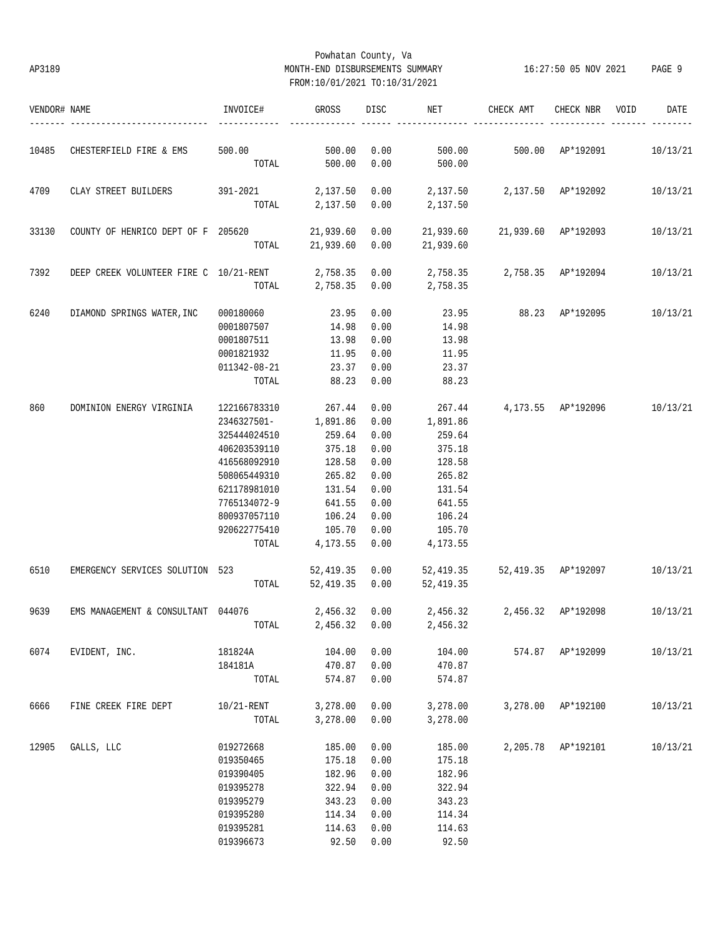# Powhatan County, Va AP3189 MONTH-END DISBURSEMENTS SUMMARY 16:27:50 05 NOV 2021 PAGE 9 FROM:10/01/2021 TO:10/31/2021

| VENDOR# NAME |                                        | INVOICE#     | GROSS     | DISC | NET                           | CHECK AMT                     | CHECK NBR          | VOID | DATE     |
|--------------|----------------------------------------|--------------|-----------|------|-------------------------------|-------------------------------|--------------------|------|----------|
| 10485        | CHESTERFIELD FIRE & EMS                | 500.00       | 500.00    | 0.00 | 500.00                        | 500.00 AP*192091              |                    |      | 10/13/21 |
|              |                                        | TOTAL        | 500.00    | 0.00 | 500.00                        |                               |                    |      |          |
| 4709         | CLAY STREET BUILDERS                   | 391-2021     | 2,137.50  | 0.00 | 2,137.50  2,137.50  AP*192092 |                               |                    |      | 10/13/21 |
|              |                                        | TOTAL        | 2,137.50  | 0.00 | 2,137.50                      |                               |                    |      |          |
| 33130        | COUNTY OF HENRICO DEPT OF F 205620     |              | 21,939.60 | 0.00 |                               | 21,939.60 21,939.60 AP*192093 |                    |      | 10/13/21 |
|              |                                        | TOTAL        | 21,939.60 | 0.00 | 21,939.60                     |                               |                    |      |          |
| 7392         | DEEP CREEK VOLUNTEER FIRE C 10/21-RENT |              | 2,758.35  | 0.00 |                               |                               |                    |      | 10/13/21 |
|              |                                        | TOTAL        | 2,758.35  | 0.00 | 2,758.35                      |                               |                    |      |          |
| 6240         | DIAMOND SPRINGS WATER, INC             | 000180060    | 23.95     | 0.00 | 23.95                         | 88.23 AP*192095               |                    |      | 10/13/21 |
|              |                                        | 0001807507   | 14.98     | 0.00 | 14.98                         |                               |                    |      |          |
|              |                                        | 0001807511   | 13.98     | 0.00 | 13.98                         |                               |                    |      |          |
|              |                                        | 0001821932   | 11.95     | 0.00 | 11.95                         |                               |                    |      |          |
|              |                                        | 011342-08-21 | 23.37     | 0.00 | 23.37                         |                               |                    |      |          |
|              |                                        | TOTAL        | 88.23     | 0.00 | 88.23                         |                               |                    |      |          |
| 860          | DOMINION ENERGY VIRGINIA               | 122166783310 | 267.44    | 0.00 | 267.44                        | 4,173.55 AP*192096            |                    |      | 10/13/21 |
|              |                                        | 2346327501-  | 1,891.86  | 0.00 | 1,891.86                      |                               |                    |      |          |
|              |                                        | 325444024510 | 259.64    | 0.00 | 259.64                        |                               |                    |      |          |
|              |                                        | 406203539110 | 375.18    | 0.00 | 375.18                        |                               |                    |      |          |
|              |                                        | 416568092910 | 128.58    | 0.00 | 128.58                        |                               |                    |      |          |
|              |                                        | 508065449310 | 265.82    | 0.00 | 265.82                        |                               |                    |      |          |
|              |                                        | 621178981010 | 131.54    | 0.00 | 131.54                        |                               |                    |      |          |
|              |                                        | 7765134072-9 | 641.55    | 0.00 | 641.55                        |                               |                    |      |          |
|              |                                        | 800937057110 | 106.24    | 0.00 | 106.24                        |                               |                    |      |          |
|              |                                        | 920622775410 | 105.70    | 0.00 | 105.70                        |                               |                    |      |          |
|              |                                        | TOTAL        | 4,173.55  | 0.00 | 4,173.55                      |                               |                    |      |          |
|              |                                        |              |           |      |                               | 52,419.35 52,419.35 AP*192097 |                    |      | 10/13/21 |
| 6510         | EMERGENCY SERVICES SOLUTION 523        |              | 52,419.35 | 0.00 |                               |                               |                    |      |          |
|              |                                        | TOTAL        | 52,419.35 | 0.00 | 52,419.35                     |                               |                    |      |          |
| 9639         | EMS MANAGEMENT & CONSULTANT 044076     |              | 2,456.32  | 0.00 | 2,456.32 2,456.32 AP*192098   |                               |                    |      | 10/13/21 |
|              |                                        |              |           |      | TOTAL 2,456.32 0.00 2,456.32  |                               |                    |      |          |
| 6074         | EVIDENT, INC.                          | 181824A      | 104.00    | 0.00 | 104.00                        | 574.87 AP*192099              |                    |      | 10/13/21 |
|              |                                        | 184181A      | 470.87    | 0.00 | 470.87                        |                               |                    |      |          |
|              |                                        | TOTAL        | 574.87    | 0.00 | 574.87                        |                               |                    |      |          |
| 6666         | FINE CREEK FIRE DEPT                   | 10/21-RENT   | 3,278.00  | 0.00 | 3,278.00                      |                               | 3,278.00 AP*192100 |      | 10/13/21 |
|              |                                        | TOTAL        | 3,278.00  | 0.00 | 3,278.00                      |                               |                    |      |          |
| 12905        | GALLS, LLC                             | 019272668    | 185.00    | 0.00 | 185.00                        |                               | 2,205.78 AP*192101 |      | 10/13/21 |
|              |                                        | 019350465    | 175.18    | 0.00 | 175.18                        |                               |                    |      |          |
|              |                                        | 019390405    | 182.96    | 0.00 | 182.96                        |                               |                    |      |          |
|              |                                        | 019395278    | 322.94    | 0.00 | 322.94                        |                               |                    |      |          |
|              |                                        | 019395279    | 343.23    | 0.00 | 343.23                        |                               |                    |      |          |
|              |                                        | 019395280    | 114.34    | 0.00 | 114.34                        |                               |                    |      |          |
|              |                                        | 019395281    | 114.63    | 0.00 | 114.63                        |                               |                    |      |          |
|              |                                        | 019396673    | 92.50     | 0.00 | 92.50                         |                               |                    |      |          |
|              |                                        |              |           |      |                               |                               |                    |      |          |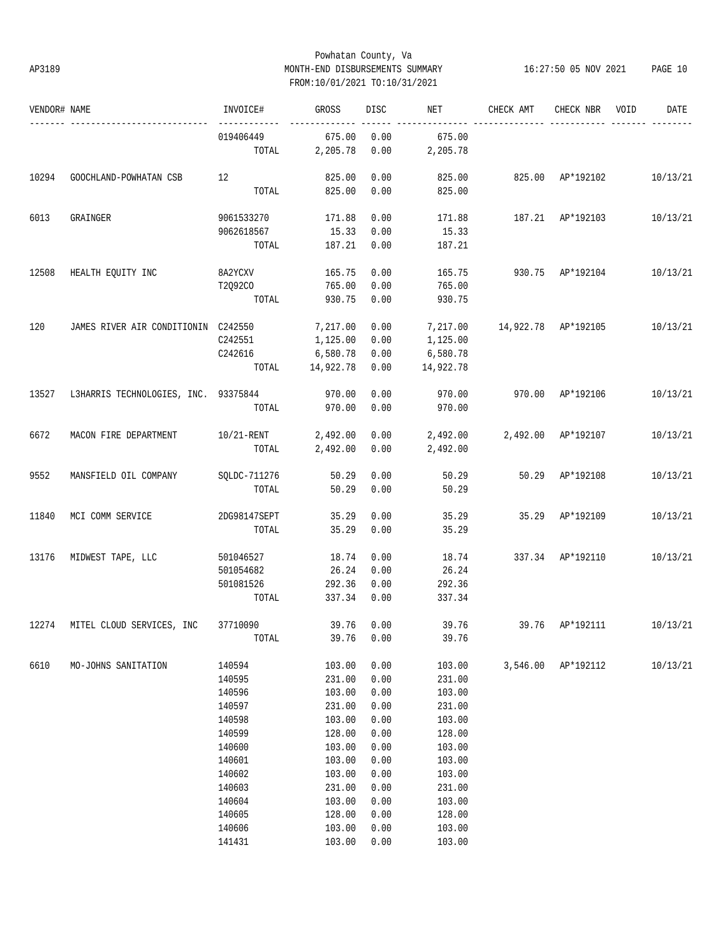# Powhatan County, Va AP3189 MONTH-END DISBURSEMENTS SUMMARY 16:27:50 05 NOV 2021 PAGE 10 FROM:10/01/2021 TO:10/31/2021

| VENDOR# NAME |                                             | INVOICE#                  | GROSS     | DISC       | NET       | CHECK AMT          | CHECK NBR           | VOID | DATE     |
|--------------|---------------------------------------------|---------------------------|-----------|------------|-----------|--------------------|---------------------|------|----------|
|              |                                             | ------------<br>019406449 | 675.00    | 0.00       | 675.00    |                    |                     |      |          |
|              |                                             | TOTAL                     | 2,205.78  | 0.00       | 2,205.78  |                    |                     |      |          |
| 10294        | GOOCHLAND-POWHATAN CSB                      | 12                        | 825.00    | 0.00       | 825.00    |                    | 825.00 AP*192102    |      | 10/13/21 |
|              |                                             | TOTAL                     | 825.00    | 0.00       | 825.00    |                    |                     |      |          |
| 6013         | GRAINGER                                    | 9061533270                | 171.88    | 0.00       | 171.88    |                    | 187.21 AP*192103    |      | 10/13/21 |
|              |                                             | 9062618567                | 15.33     | 0.00       | 15.33     |                    |                     |      |          |
|              |                                             | TOTAL                     | 187.21    | 0.00       | 187.21    |                    |                     |      |          |
| 12508        | HEALTH EQUITY INC                           | 8A2YCXV                   | 165.75    | 0.00       | 165.75    |                    | 930.75 AP*192104    |      | 10/13/21 |
|              |                                             | T2Q92CO                   | 765.00    | 0.00       | 765.00    |                    |                     |      |          |
|              |                                             | TOTAL                     | 930.75    | 0.00       | 930.75    |                    |                     |      |          |
|              |                                             |                           |           |            |           |                    |                     |      |          |
| 120          | JAMES RIVER AIR CONDITIONIN C242550         |                           | 7,217.00  | 0.00       | 7,217.00  |                    | 14,922.78 AP*192105 |      | 10/13/21 |
|              |                                             | C242551                   | 1,125.00  | 0.00       | 1,125.00  |                    |                     |      |          |
|              |                                             | C242616                   | 6,580.78  | 0.00       | 6,580.78  |                    |                     |      |          |
|              |                                             | TOTAL                     | 14,922.78 | 0.00       | 14,922.78 |                    |                     |      |          |
| 13527        | L3HARRIS TECHNOLOGIES, INC. 93375844 970.00 |                           |           | 0.00       | 970.00    |                    | 970.00 AP*192106    |      | 10/13/21 |
|              |                                             | TOTAL                     | 970.00    | 0.00       | 970.00    |                    |                     |      |          |
|              |                                             |                           |           |            |           |                    |                     |      |          |
| 6672         | MACON FIRE DEPARTMENT                       | $10/21$ -RENT             | 2,492.00  | 0.00       | 2,492.00  | 2,492.00 AP*192107 |                     |      | 10/13/21 |
|              |                                             | TOTAL                     | 2,492.00  | 0.00       | 2,492.00  |                    |                     |      |          |
| 9552         | MANSFIELD OIL COMPANY                       | SQLDC-711276              | 50.29     | 0.00       | 50.29     |                    | 50.29 AP*192108     |      | 10/13/21 |
|              |                                             | TOTAL                     | 50.29     | 0.00       | 50.29     |                    |                     |      |          |
| 11840        | MCI COMM SERVICE                            | 2DG98147SEPT              | 35.29     | 0.00       | 35.29     |                    | 35.29 AP*192109     |      | 10/13/21 |
|              |                                             | TOTAL                     | 35.29     | 0.00       | 35.29     |                    |                     |      |          |
|              |                                             |                           |           |            |           |                    |                     |      |          |
| 13176        | MIDWEST TAPE, LLC                           | 501046527                 | 18.74     | 0.00       | 18.74     |                    | 337.34 AP*192110    |      | 10/13/21 |
|              |                                             | 501054682                 | 26.24     | 0.00       | 26.24     |                    |                     |      |          |
|              |                                             | 501081526                 | 292.36    | 0.00       | 292.36    |                    |                     |      |          |
|              |                                             | TOTAL                     | 337.34    | 0.00       | 337.34    |                    |                     |      |          |
|              | 12274 MITEL CLOUD SERVICES, INC             | 37710090                  |           | 39.76 0.00 | 39.76     |                    | 39.76 AP*192111     |      | 10/13/21 |
|              |                                             | TOTAL                     | 39.76     | 0.00       | 39.76     |                    |                     |      |          |
| 6610         | MO-JOHNS SANITATION                         | 140594                    | 103.00    | 0.00       | 103.00    |                    | 3,546.00 AP*192112  |      | 10/13/21 |
|              |                                             | 140595                    | 231.00    | 0.00       | 231.00    |                    |                     |      |          |
|              |                                             | 140596                    | 103.00    | 0.00       | 103.00    |                    |                     |      |          |
|              |                                             | 140597                    | 231.00    | 0.00       | 231.00    |                    |                     |      |          |
|              |                                             | 140598                    | 103.00    | 0.00       | 103.00    |                    |                     |      |          |
|              |                                             | 140599                    | 128.00    | 0.00       | 128.00    |                    |                     |      |          |
|              |                                             | 140600                    | 103.00    | 0.00       | 103.00    |                    |                     |      |          |
|              |                                             | 140601                    | 103.00    | 0.00       | 103.00    |                    |                     |      |          |
|              |                                             | 140602                    | 103.00    | 0.00       | 103.00    |                    |                     |      |          |
|              |                                             | 140603                    | 231.00    | 0.00       | 231.00    |                    |                     |      |          |
|              |                                             | 140604                    | 103.00    | 0.00       | 103.00    |                    |                     |      |          |
|              |                                             | 140605                    | 128.00    | 0.00       | 128.00    |                    |                     |      |          |
|              |                                             | 140606                    | 103.00    | 0.00       | 103.00    |                    |                     |      |          |
|              |                                             | 141431                    | 103.00    | 0.00       | 103.00    |                    |                     |      |          |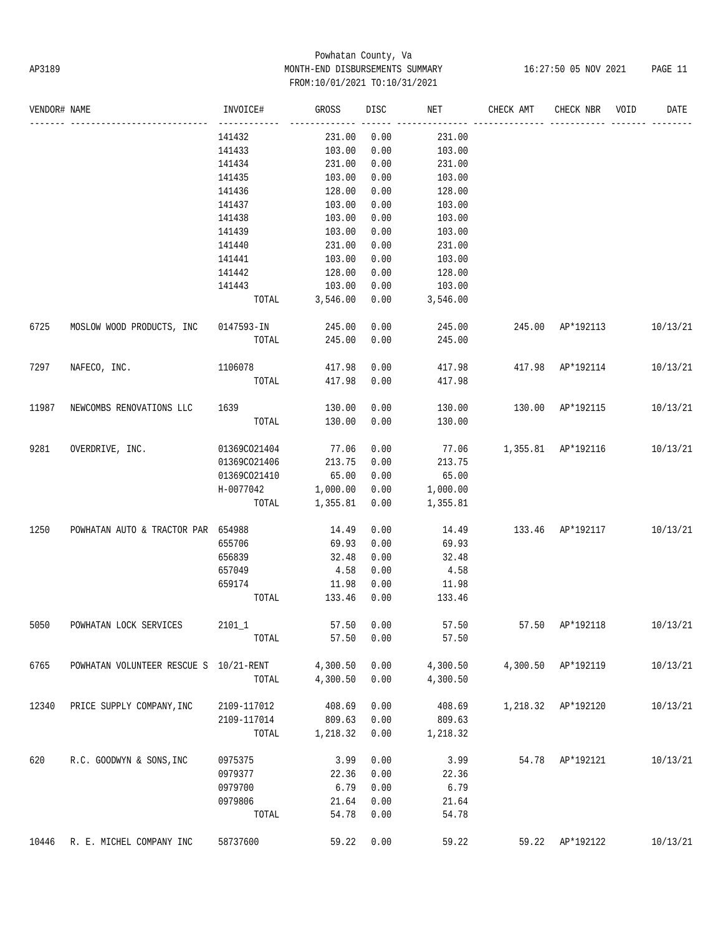# Powhatan County, Va AP3189 MONTH-END DISBURSEMENTS SUMMARY 16:27:50 05 NOV 2021 PAGE 11 FROM:10/01/2021 TO:10/31/2021

| VENDOR# NAME |                                        | INVOICE#             | GROSS          | DISC | NET      | CHECK AMT                 | CHECK NBR        | VOID | DATE     |
|--------------|----------------------------------------|----------------------|----------------|------|----------|---------------------------|------------------|------|----------|
|              |                                        | 141432               | 231.00         | 0.00 | 231.00   |                           |                  |      |          |
|              |                                        | 141433               | 103.00         | 0.00 | 103.00   |                           |                  |      |          |
|              |                                        | 141434               | 231.00         | 0.00 | 231.00   |                           |                  |      |          |
|              |                                        | 141435               | 103.00         | 0.00 | 103.00   |                           |                  |      |          |
|              |                                        | 141436               | 128.00         | 0.00 | 128.00   |                           |                  |      |          |
|              |                                        | 141437               | 103.00         | 0.00 | 103.00   |                           |                  |      |          |
|              |                                        | 141438               | 103.00         | 0.00 | 103.00   |                           |                  |      |          |
|              |                                        | 141439               | 103.00         | 0.00 | 103.00   |                           |                  |      |          |
|              |                                        | 141440               | 231.00         | 0.00 | 231.00   |                           |                  |      |          |
|              |                                        | 141441               | 103.00         | 0.00 | 103.00   |                           |                  |      |          |
|              |                                        | 141442               | 128.00         | 0.00 | 128.00   |                           |                  |      |          |
|              |                                        | 141443               | 103.00         | 0.00 | 103.00   |                           |                  |      |          |
|              |                                        | TOTAL                | 3,546.00       | 0.00 | 3,546.00 |                           |                  |      |          |
| 6725         | MOSLOW WOOD PRODUCTS, INC              | 0147593-IN           | 245.00         | 0.00 | 245.00   |                           | 245.00 AP*192113 |      | 10/13/21 |
|              |                                        | TOTAL                | 245.00         | 0.00 | 245.00   |                           |                  |      |          |
| 7297         | NAFECO, INC.                           | 1106078              | 417.98         | 0.00 |          | 417.98  417.98  AP*192114 |                  |      | 10/13/21 |
|              |                                        | TOTAL                | 417.98         | 0.00 | 417.98   |                           |                  |      |          |
| 11987        | NEWCOMBS RENOVATIONS LLC               | 1639                 | 130.00         | 0.00 | 130.00   | 130.00 AP*192115          |                  |      | 10/13/21 |
|              |                                        | TOTAL                | 130.00         | 0.00 | 130.00   |                           |                  |      |          |
|              |                                        |                      |                |      |          |                           |                  |      |          |
| 9281         | OVERDRIVE, INC.                        | 01369CO21404         | 77.06          | 0.00 |          | 77.06 1,355.81 AP*192116  |                  |      | 10/13/21 |
|              |                                        | 01369CO21406         | 213.75         | 0.00 | 213.75   |                           |                  |      |          |
|              |                                        | 01369CO21410         | 65.00          | 0.00 | 65.00    |                           |                  |      |          |
|              |                                        | $H-0077042$ 1,000.00 |                | 0.00 | 1,000.00 |                           |                  |      |          |
|              |                                        |                      | TOTAL 1,355.81 | 0.00 | 1,355.81 |                           |                  |      |          |
| 1250         | POWHATAN AUTO & TRACTOR PAR 654988     |                      | 14.49          | 0.00 | 14.49    | 133.46 AP*192117          |                  |      | 10/13/21 |
|              |                                        | 655706               | 69.93          | 0.00 | 69.93    |                           |                  |      |          |
|              |                                        | 656839               | 32.48          | 0.00 | 32.48    |                           |                  |      |          |
|              |                                        | 657049               | 4.58           | 0.00 | 4.58     |                           |                  |      |          |
|              |                                        | 659174               | 11.98          | 0.00 | 11.98    |                           |                  |      |          |
|              |                                        | TOTAL                | 133.46         | 0.00 | 133.46   |                           |                  |      |          |
| 5050         | POWHATAN LOCK SERVICES                 | $2101\_1$            | 57.50 0.00     |      | 57.50    |                           | 57.50 AP*192118  |      | 10/13/21 |
|              |                                        | TOTAL                | 57.50          | 0.00 | 57.50    |                           |                  |      |          |
| 6765         | POWHATAN VOLUNTEER RESCUE S 10/21-RENT |                      | 4,300.50       | 0.00 | 4,300.50 | 4,300.50                  | AP*192119        |      | 10/13/21 |
|              |                                        | TOTAL                | 4,300.50       | 0.00 | 4,300.50 |                           |                  |      |          |
| 12340        | PRICE SUPPLY COMPANY, INC              | 2109-117012          | 408.69         | 0.00 | 408.69   | 1,218.32                  | AP*192120        |      | 10/13/21 |
|              |                                        | 2109-117014          | 809.63         | 0.00 | 809.63   |                           |                  |      |          |
|              |                                        | TOTAL                | 1,218.32       | 0.00 | 1,218.32 |                           |                  |      |          |
| 620          | R.C. GOODWYN & SONS, INC               | 0975375              | 3.99           | 0.00 | 3.99     | 54.78                     | AP*192121        |      | 10/13/21 |
|              |                                        | 0979377              | 22.36          | 0.00 | 22.36    |                           |                  |      |          |
|              |                                        | 0979700              | 6.79           | 0.00 | 6.79     |                           |                  |      |          |
|              |                                        | 0979806              | 21.64          | 0.00 | 21.64    |                           |                  |      |          |
|              |                                        | TOTAL                | 54.78          | 0.00 | 54.78    |                           |                  |      |          |
| 10446        | R. E. MICHEL COMPANY INC               | 58737600             | 59.22          | 0.00 | 59.22    | 59.22                     | AP*192122        |      | 10/13/21 |
|              |                                        |                      |                |      |          |                           |                  |      |          |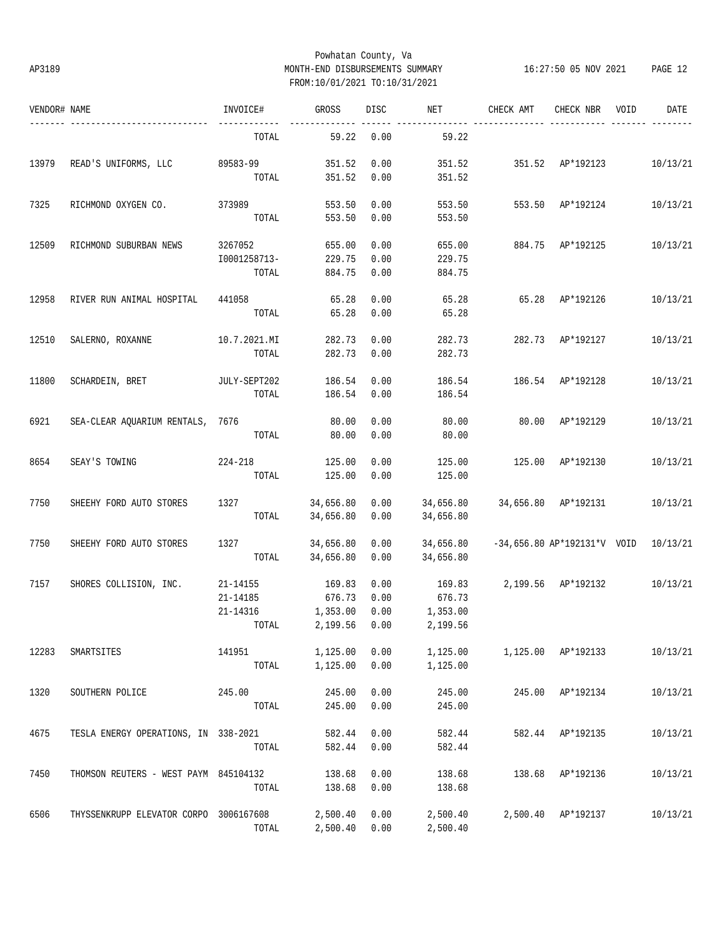# Powhatan County, Va AP3189 MONTH-END DISBURSEMENTS SUMMARY 16:27:50 05 NOV 2021 PAGE 12 FROM:10/01/2021 TO:10/31/2021

| VENDOR# NAME |                                        | INVOICE#     | GROSS               | <b>DISC</b> | NET                          | CHECK AMT                       | CHECK NBR                              | VOID | DATE     |
|--------------|----------------------------------------|--------------|---------------------|-------------|------------------------------|---------------------------------|----------------------------------------|------|----------|
|              |                                        | TOTAL        | 59.22               | 0.00        | 59.22                        |                                 |                                        |      |          |
| 13979        | READ'S UNIFORMS, LLC                   | 89583-99     | 351.52              | 0.00        | 351.52                       | 351.52 AP*192123                |                                        |      | 10/13/21 |
|              |                                        | TOTAL        | 351.52              | 0.00        | 351.52                       |                                 |                                        |      |          |
| 7325         | RICHMOND OXYGEN CO.                    | 373989       | 553.50              | 0.00        | 553.50                       |                                 | 553.50 AP*192124                       |      | 10/13/21 |
|              |                                        | TOTAL        | 553.50              | 0.00        | 553.50                       |                                 |                                        |      |          |
| 12509        | RICHMOND SUBURBAN NEWS                 | 3267052      | 655.00              | 0.00        | 655.00                       |                                 | 884.75 AP*192125                       |      | 10/13/21 |
|              |                                        | I0001258713- | 229.75              | 0.00        | 229.75                       |                                 |                                        |      |          |
|              |                                        | TOTAL        | 884.75              | 0.00        | 884.75                       |                                 |                                        |      |          |
| 12958        | RIVER RUN ANIMAL HOSPITAL              | 441058       | 65.28               | 0.00        | 65.28                        | 65.28                           | AP*192126                              |      | 10/13/21 |
|              |                                        | TOTAL        | 65.28               | 0.00        | 65.28                        |                                 |                                        |      |          |
| 12510        | SALERNO, ROXANNE                       | 10.7.2021.MI | 282.73              | 0.00        | 282.73                       | 282.73                          | AP*192127                              |      | 10/13/21 |
|              |                                        | TOTAL        | 282.73              | 0.00        | 282.73                       |                                 |                                        |      |          |
| 11800        | SCHARDEIN, BRET                        | JULY-SEPT202 | 186.54              | 0.00        | 186.54                       |                                 | 186.54 AP*192128                       |      | 10/13/21 |
|              |                                        | TOTAL        | 186.54              | 0.00        | 186.54                       |                                 |                                        |      |          |
| 6921         | SEA-CLEAR AQUARIUM RENTALS, 7676       |              | 80.00               | 0.00        | 80.00                        | 80.00                           | AP*192129                              |      | 10/13/21 |
|              |                                        | TOTAL        | 80.00               | 0.00        | 80.00                        |                                 |                                        |      |          |
|              |                                        |              |                     |             |                              |                                 |                                        |      |          |
| 8654         | SEAY'S TOWING                          | 224-218      | 125.00              | 0.00        | 125.00                       |                                 | 125.00 AP*192130                       |      | 10/13/21 |
|              |                                        | TOTAL        | 125.00              | 0.00        | 125.00                       |                                 |                                        |      |          |
| 7750         | SHEEHY FORD AUTO STORES                | 1327         | 34,656.80           | 0.00        | 34,656.80                    | 34,656.80 AP*192131             |                                        |      | 10/13/21 |
|              |                                        | TOTAL        | 34,656.80           | 0.00        | 34,656.80                    |                                 |                                        |      |          |
| 7750         | SHEEHY FORD AUTO STORES                | 1327         | 34,656.80           | 0.00        | 34,656.80                    |                                 | $-34,656.80$ AP*192131*V VOID 10/13/21 |      |          |
|              |                                        | TOTAL        | 34,656.80           | 0.00        | 34,656.80                    |                                 |                                        |      |          |
| 7157         | SHORES COLLISION, INC.                 | 21-14155     | 169.83              | 0.00        | 169.83                       |                                 | 2,199.56 AP*192132                     |      | 10/13/21 |
|              |                                        | 21-14185     | 676.73              | 0.00        | 676.73                       |                                 |                                        |      |          |
|              |                                        | 21-14316     | 1,353.00            | 0.00        | 1,353.00                     |                                 |                                        |      |          |
|              |                                        |              | TOTAL 2,199.56 0.00 |             | 2,199.56                     |                                 |                                        |      |          |
| 12283        | SMARTSITES                             | 141951       | 1,125.00            | 0.00        |                              | 1,125.00   1,125.00   AP*192133 |                                        |      | 10/13/21 |
|              |                                        | TOTAL        | 1,125.00            | 0.00        | 1,125.00                     |                                 |                                        |      |          |
| 1320         | SOUTHERN POLICE                        | 245.00       | 245.00              | 0.00        | 245.00                       |                                 | 245.00 AP*192134                       |      | 10/13/21 |
|              |                                        | TOTAL        | 245.00              | 0.00        | 245.00                       |                                 |                                        |      |          |
| 4675         | TESLA ENERGY OPERATIONS, IN 338-2021   |              | 582.44              | 0.00        | 582.44                       |                                 | 582.44 AP*192135                       |      | 10/13/21 |
|              |                                        | TOTAL        | 582.44 0.00         |             | 582.44                       |                                 |                                        |      |          |
|              |                                        |              |                     |             |                              |                                 |                                        |      |          |
| 7450         | THOMSON REUTERS - WEST PAYM 845104132  |              | 138.68              | 0.00        | 138.68                       | 138.68 AP*192136                |                                        |      | 10/13/21 |
|              |                                        | TOTAL        | 138.68              | 0.00        | 138.68                       |                                 |                                        |      |          |
| 6506         | THYSSENKRUPP ELEVATOR CORPO 3006167608 |              | 2,500.40            | 0.00        |                              | 2,500.40 2,500.40 AP*192137     |                                        |      | 10/13/21 |
|              |                                        |              |                     |             | TOTAL 2,500.40 0.00 2,500.40 |                                 |                                        |      |          |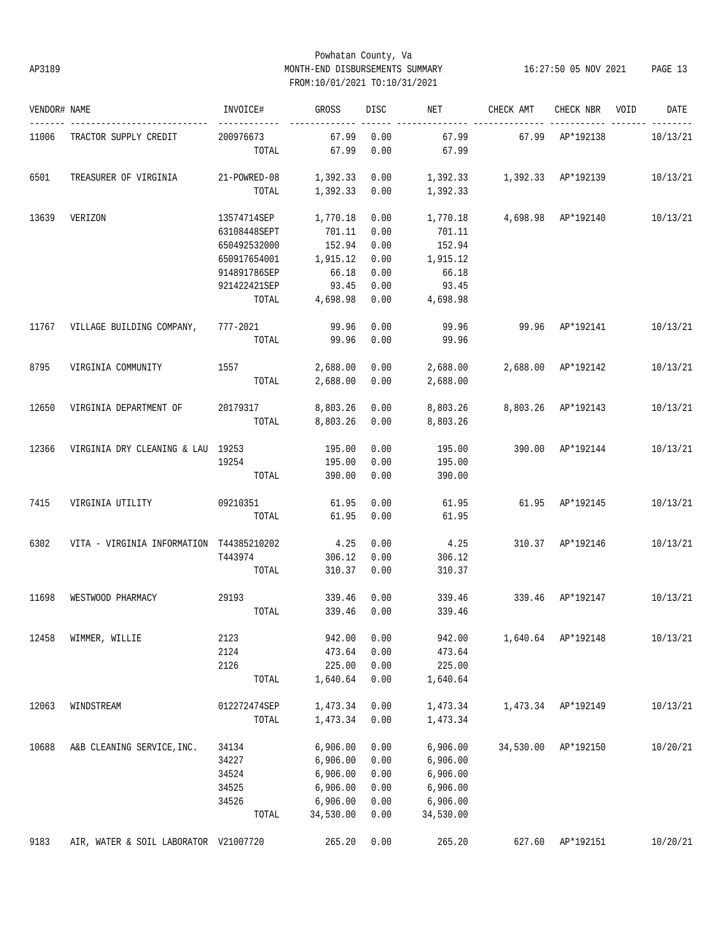# Powhatan County, Va AP3189 MONTH-END DISBURSEMENTS SUMMARY 16:27:50 05 NOV 2021 PAGE 13 FROM:10/01/2021 TO:10/31/2021

| VENDOR# NAME |                                          | INVOICE#             | GROSS               | DISC | NET                                                        | CHECK AMT                 | CHECK NBR VOID     | DATE     |
|--------------|------------------------------------------|----------------------|---------------------|------|------------------------------------------------------------|---------------------------|--------------------|----------|
|              | 11006 TRACTOR SUPPLY CREDIT              | 200976673            | 67.99               | 0.00 | 67.99                                                      |                           | 67.99 AP*192138    | 10/13/21 |
|              |                                          | TOTAL                | 67.99               | 0.00 | 67.99                                                      |                           |                    |          |
| 6501         | TREASURER OF VIRGINIA                    | 21-POWRED-08         |                     |      | $1,392.33$ $0.00$ $1,392.33$ $1,392.33$ $\text{AP*192139}$ |                           |                    | 10/13/21 |
|              |                                          |                      |                     |      | TOTAL 1,392.33 0.00 1,392.33                               |                           |                    |          |
| 13639        | VERIZON                                  | 13574714SEP 1,770.18 |                     | 0.00 | 1,770.18  4,698.98  AP*192140  10/13/21                    |                           |                    |          |
|              |                                          | 63108448SEPT         | 701.11              | 0.00 | 701.11                                                     |                           |                    |          |
|              |                                          | 650492532000         | 152.94              | 0.00 | 152.94                                                     |                           |                    |          |
|              |                                          | 650917654001         | 1,915.12            | 0.00 | 1,915.12                                                   |                           |                    |          |
|              |                                          | 914891786SEP         | 66.18               | 0.00 | 66.18                                                      |                           |                    |          |
|              |                                          | 921422421SEP         | 93.45               | 0.00 | 93.45                                                      |                           |                    |          |
|              |                                          |                      | TOTAL 4,698.98 0.00 |      | 4,698.98                                                   |                           |                    |          |
| 11767        | VILLAGE BUILDING COMPANY, 777-2021 99.96 |                      |                     | 0.00 |                                                            | 99.96 99.96 AP*192141     |                    | 10/13/21 |
|              |                                          | TOTAL                | 99.96 0.00          |      | 99.96                                                      |                           |                    |          |
|              |                                          |                      |                     |      |                                                            |                           |                    |          |
| 8795         | VIRGINIA COMMUNITY 1557 2,688.00 0.00    |                      |                     |      |                                                            |                           |                    | 10/13/21 |
|              |                                          |                      |                     |      | TOTAL 2,688.00 0.00 2,688.00                               |                           |                    |          |
| 12650        | VIRGINIA DEPARTMENT OF 20179317          |                      | 8,803.26 0.00       |      | 8,803.26   8,803.26   AP*192143                            |                           |                    | 10/13/21 |
|              |                                          |                      | TOTAL 8,803.26 0.00 |      | 8,803.26                                                   |                           |                    |          |
|              |                                          |                      |                     |      |                                                            |                           |                    |          |
|              | 12366 VIRGINIA DRY CLEANING & LAU 19253  |                      | 195.00              | 0.00 |                                                            | 195.00 390.00 AP*192144   |                    | 10/13/21 |
|              |                                          | 19254                | 195.00              | 0.00 | 195.00                                                     |                           |                    |          |
|              |                                          | TOTAL                | 390.00              | 0.00 | 390.00                                                     |                           |                    |          |
| 7415         |                                          |                      | 61.95               | 0.00 | 61.95                                                      | 61.95 AP*192145           |                    | 10/13/21 |
|              |                                          | TOTAL                | 61.95               | 0.00 | 61.95                                                      |                           |                    |          |
| 6302         | VITA - VIRGINIA INFORMATION T44385210202 |                      | 4.25                | 0.00 | 4.25                                                       | 310.37 AP*192146          |                    | 10/13/21 |
|              |                                          | T443974              | 306.12              | 0.00 | 306.12                                                     |                           |                    |          |
|              |                                          | TOTAL                | 310.37              | 0.00 | 310.37                                                     |                           |                    |          |
|              |                                          |                      |                     |      |                                                            |                           |                    |          |
| 11698        | WESTWOOD PHARMACY                        | 29193                | 339.46 0.00         |      | 339.46                                                     | 339.46 AP*192147 10/13/21 |                    |          |
|              |                                          | TOTAL                | 339.46              | 0.00 | 339.46                                                     |                           |                    |          |
| 12458        | WIMMER, WILLIE                           | 2123                 | 942.00              | 0.00 | 942.00                                                     |                           | 1,640.64 AP*192148 | 10/13/21 |
|              |                                          | 2124                 | 473.64              | 0.00 | 473.64                                                     |                           |                    |          |
|              |                                          | 2126                 | 225.00              | 0.00 | 225.00                                                     |                           |                    |          |
|              |                                          | TOTAL                | 1,640.64            | 0.00 | 1,640.64                                                   |                           |                    |          |
| 12063        | WINDSTREAM                               | 012272474SEP         | 1,473.34            | 0.00 | 1,473.34                                                   | 1,473.34                  | AP*192149          | 10/13/21 |
|              |                                          |                      |                     |      |                                                            |                           |                    |          |
|              |                                          | TOTAL                | 1,473.34            | 0.00 | 1,473.34                                                   |                           |                    |          |
| 10688        | A&B CLEANING SERVICE, INC.               | 34134                | 6,906.00            | 0.00 | 6,906.00                                                   | 34,530.00                 | AP*192150          | 10/20/21 |
|              |                                          | 34227                | 6,906.00            | 0.00 | 6,906.00                                                   |                           |                    |          |
|              |                                          | 34524                | 6,906.00            | 0.00 | 6,906.00                                                   |                           |                    |          |
|              |                                          | 34525                | 6,906.00            | 0.00 | 6,906.00                                                   |                           |                    |          |
|              |                                          | 34526                | 6,906.00            | 0.00 | 6,906.00                                                   |                           |                    |          |
|              |                                          | TOTAL                | 34,530.00           | 0.00 | 34,530.00                                                  |                           |                    |          |
| 9183         | AIR, WATER & SOIL LABORATOR V21007720    |                      | 265.20              | 0.00 | 265.20                                                     | 627.60                    | AP*192151          | 10/20/21 |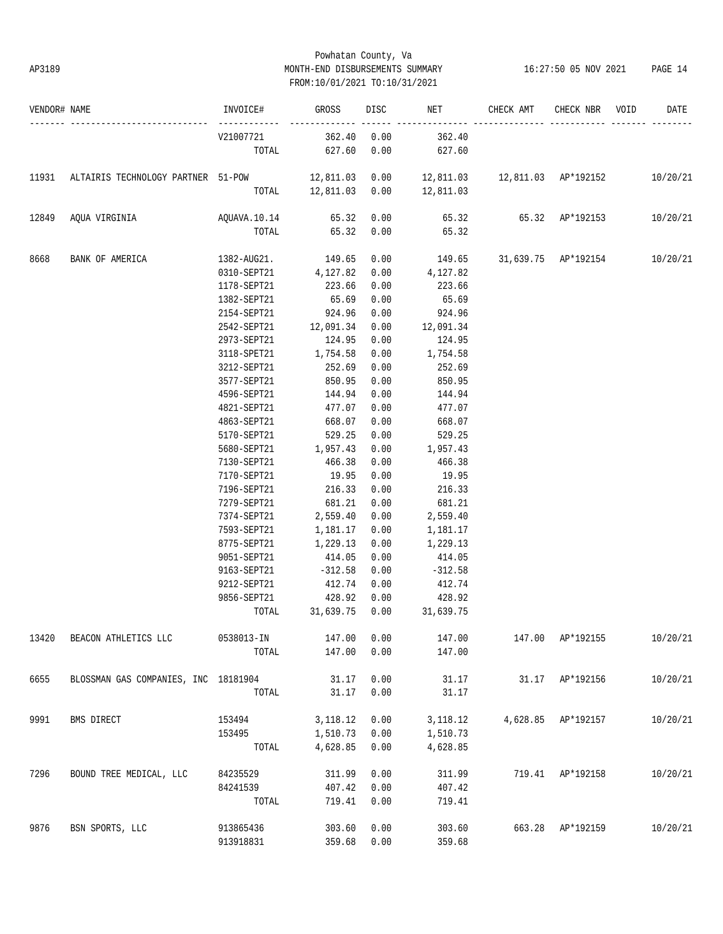# Powhatan County, Va AP3189 MONTH-END DISBURSEMENTS SUMMARY 16:27:50 05 NOV 2021 PAGE 14 FROM:10/01/2021 TO:10/31/2021

| VENDOR# NAME |                                                                                          | INVOICE#                                           | GROSS                          |                    | DISC NET                       | CHECK AMT             | CHECK NBR VOID     | DATE     |
|--------------|------------------------------------------------------------------------------------------|----------------------------------------------------|--------------------------------|--------------------|--------------------------------|-----------------------|--------------------|----------|
|              |                                                                                          | V21007721                                          | $362.40$ 0.00                  | __________________ | 362.40                         |                       |                    |          |
|              |                                                                                          |                                                    | TOTAL 627.60                   | 0.00               | 627.60                         |                       |                    |          |
| 11931        | ALTAIRIS TECHNOLOGY PARTNER 51-POW 12,811.03 0.00 12,811.03 12,811.03 AP*192152 10/20/21 |                                                    |                                |                    |                                |                       |                    |          |
|              |                                                                                          |                                                    |                                |                    | TOTAL 12,811.03 0.00 12,811.03 |                       |                    |          |
| 12849        |                                                                                          |                                                    |                                |                    |                                | 65.32 65.32 AP*192153 |                    | 10/20/21 |
|              |                                                                                          | TOTAL                                              | 65.32 0.00                     |                    | 65.32                          |                       |                    |          |
| 8668         | BANK OF AMERICA                                                                          | 1382-AUG21. 149.65 0.00 149.65 31,639.75 AP*192154 |                                |                    |                                |                       |                    | 10/20/21 |
|              |                                                                                          | 0310-SEPT21 4,127.82 0.00 4,127.82                 |                                |                    |                                |                       |                    |          |
|              |                                                                                          | 1178-SEPT21 223.66                                 |                                | 0.00               | 223.66                         |                       |                    |          |
|              |                                                                                          | 1382-SEPT21                                        | 65.69                          | 0.00               | 65.69                          |                       |                    |          |
|              |                                                                                          | 2154-SEPT21 924.96                                 |                                | 0.00               | 924.96                         |                       |                    |          |
|              |                                                                                          | 2542-SEPT21 12,091.34                              |                                | 0.00               | 12,091.34                      |                       |                    |          |
|              |                                                                                          | 2973-SEPT21                                        | 124.95                         | 0.00               | 124.95                         |                       |                    |          |
|              |                                                                                          | 3118-SPET21 1,754.58                               |                                | 0.00               | 1,754.58                       |                       |                    |          |
|              |                                                                                          | 3212-SEPT21                                        | 252.69                         | 0.00               | 252.69                         |                       |                    |          |
|              |                                                                                          | 3577-SEPT21                                        | 850.95                         | 0.00               | 850.95                         |                       |                    |          |
|              |                                                                                          | 4596-SEPT21                                        | 144.94                         | 0.00               | 144.94                         |                       |                    |          |
|              |                                                                                          | 4821-SEPT21                                        | 477.07                         | 0.00               | 477.07                         |                       |                    |          |
|              |                                                                                          | 4863-SEPT21 668.07                                 |                                | 0.00               | 668.07                         |                       |                    |          |
|              |                                                                                          | 5170-SEPT21 529.25                                 |                                | 0.00               | 529.25                         |                       |                    |          |
|              |                                                                                          | 5680-SEPT21 1,957.43                               |                                | 0.00               | 1,957.43                       |                       |                    |          |
|              |                                                                                          | 7130-SEPT21                                        | 466.38                         | 0.00               | 466.38                         |                       |                    |          |
|              |                                                                                          | 7170-SEPT21                                        | 19.95                          | 0.00               | 19.95                          |                       |                    |          |
|              |                                                                                          | 7196-SEPT21                                        | 216.33                         | 0.00               | 216.33                         |                       |                    |          |
|              |                                                                                          | 7279-SEPT21                                        | 681.21                         | 0.00               | 681.21                         |                       |                    |          |
|              |                                                                                          | 7374-SEPT21                                        | 2,559.40                       | 0.00               | 2,559.40                       |                       |                    |          |
|              |                                                                                          | 7593-SEPT21                                        | 1,181.17                       | 0.00               | 1,181.17                       |                       |                    |          |
|              |                                                                                          | 8775-SEPT21                                        | 1,229.13                       | 0.00               | 1,229.13                       |                       |                    |          |
|              |                                                                                          | 9051-SEPT21                                        | 414.05                         | 0.00               | 414.05                         |                       |                    |          |
|              |                                                                                          | 9163-SEPT21                                        | $-312.58$                      | 0.00               | $-312.58$                      |                       |                    |          |
|              |                                                                                          | 9212-SEPT21                                        | 412.74                         | 0.00               | 412.74                         |                       |                    |          |
|              |                                                                                          | 9856-SEPT21 428.92 0.00                            |                                |                    | 428.92                         |                       |                    |          |
|              |                                                                                          |                                                    | TOTAL 31,639.75 0.00 31,639.75 |                    |                                |                       |                    |          |
| 13420        | BEACON ATHLETICS LLC                                                                     | 0538013-IN                                         | 147.00                         | 0.00               | 147.00                         |                       | 147.00 AP*192155   | 10/20/21 |
|              |                                                                                          | TOTAL                                              | 147.00                         | 0.00               | 147.00                         |                       |                    |          |
| 6655         | BLOSSMAN GAS COMPANIES, INC 18181904                                                     |                                                    | 31.17                          | 0.00               | 31.17                          |                       | 31.17 AP*192156    | 10/20/21 |
|              |                                                                                          | TOTAL                                              | 31.17                          | 0.00               | 31.17                          |                       |                    |          |
|              |                                                                                          |                                                    |                                |                    |                                |                       |                    |          |
| 9991         | BMS DIRECT                                                                               | 153494                                             | 3, 118.12                      | 0.00               | 3,118.12                       |                       | 4,628.85 AP*192157 | 10/20/21 |
|              |                                                                                          | 153495                                             | 1,510.73                       | 0.00               | 1,510.73                       |                       |                    |          |
|              |                                                                                          | TOTAL                                              | 4,628.85                       | 0.00               | 4,628.85                       |                       |                    |          |
| 7296         | BOUND TREE MEDICAL, LLC                                                                  | 84235529                                           | 311.99                         | 0.00               | 311.99                         |                       | 719.41 AP*192158   | 10/20/21 |
|              |                                                                                          | 84241539                                           | 407.42                         | 0.00               | 407.42                         |                       |                    |          |
|              |                                                                                          | TOTAL                                              | 719.41                         | 0.00               | 719.41                         |                       |                    |          |
| 9876         | BSN SPORTS, LLC                                                                          | 913865436                                          | 303.60                         | 0.00               | 303.60                         |                       | 663.28 AP*192159   | 10/20/21 |
|              |                                                                                          | 913918831                                          | 359.68                         | 0.00               | 359.68                         |                       |                    |          |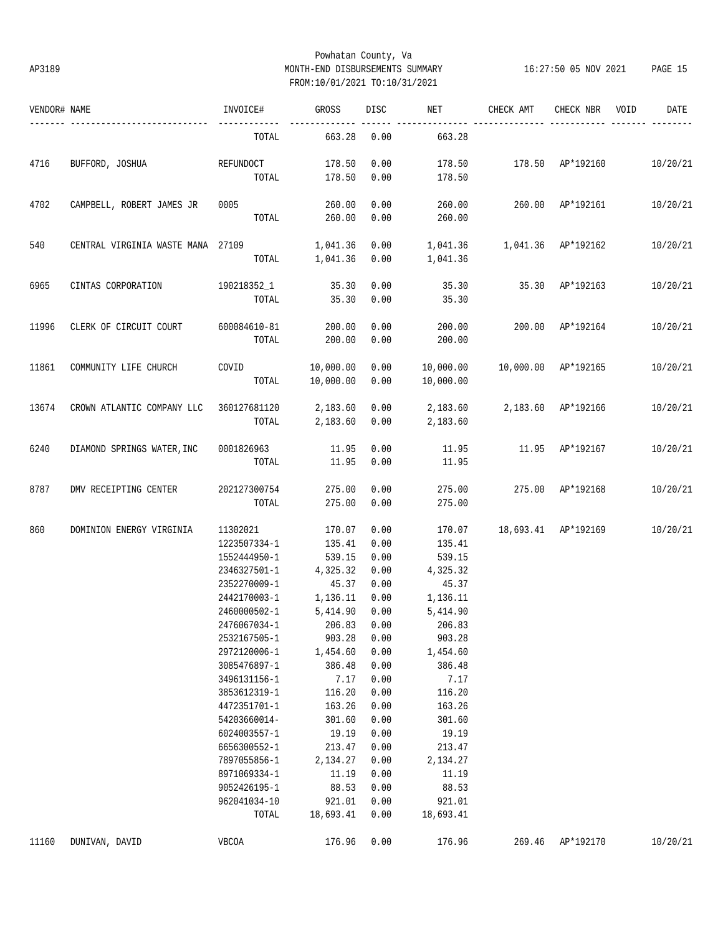# Powhatan County, Va AP3189 MONTH-END DISBURSEMENTS SUMMARY 16:27:50 05 NOV 2021 PAGE 15 FROM:10/01/2021 TO:10/31/2021

| VENDOR# NAME |                                                  | INVOICE#                 | GROSS        | DISC         | NET                           | CHECK AMT           | CHECK NBR | VOID | DATE     |
|--------------|--------------------------------------------------|--------------------------|--------------|--------------|-------------------------------|---------------------|-----------|------|----------|
|              |                                                  | TOTAL                    | 663.28       | 0.00         | 663.28                        |                     |           |      |          |
| 4716         | BUFFORD, JOSHUA                                  | REFUNDOCT                | 178.50       | 0.00         | 178.50                        | 178.50 AP*192160    |           |      | 10/20/21 |
|              |                                                  | TOTAL                    | 178.50       | 0.00         | 178.50                        |                     |           |      |          |
| 4702         | CAMPBELL, ROBERT JAMES JR                        | 0005                     | 260.00       | 0.00         | 260.00                        | 260.00 AP*192161    |           |      | 10/20/21 |
|              |                                                  |                          | TOTAL 260.00 | 0.00         | 260.00                        |                     |           |      |          |
| 540          | CENTRAL VIRGINIA WASTE MANA 27109                |                          | 1,041.36     | 0.00         |                               |                     |           |      | 10/20/21 |
|              |                                                  | TOTAL                    | 1,041.36     | 0.00         | 1,041.36                      |                     |           |      |          |
| 6965         | CINTAS CORPORATION                               | 190218352_1 35.30        |              | 0.00         |                               |                     |           |      | 10/20/21 |
|              |                                                  | TOTAL                    | 35.30        | 0.00         | 35.30                         |                     |           |      |          |
| 11996        | CLERK OF CIRCUIT COURT                           | 600084610-81             | 200.00       | 0.00         | 200.00                        | 200.00 AP*192164    |           |      | 10/20/21 |
|              |                                                  | TOTAL                    | 200.00       | 0.00         | 200.00                        |                     |           |      |          |
|              |                                                  |                          |              |              |                               |                     |           |      | 10/20/21 |
| 11861        | COMMUNITY LIFE CHURCH                            | COVID 10,000.00<br>TOTAL | 10,000.00    | 0.00<br>0.00 | 10,000.00                     |                     |           |      |          |
| 13674        |                                                  |                          |              | 0.00         | 2,183.60  2,183.60  AP*192166 |                     |           |      | 10/20/21 |
|              | CROWN ATLANTIC COMPANY LLC 360127681120 2,183.60 | TOTAL                    | 2,183.60     | 0.00         | 2,183.60                      |                     |           |      |          |
| 6240         | DIAMOND SPRINGS WATER, INC                       | 0001826963               | 11.95        | 0.00         | 11.95                         | 11.95 AP*192167     |           |      | 10/20/21 |
|              |                                                  | TOTAL                    | 11.95        | 0.00         | 11.95                         |                     |           |      |          |
| 8787         | DMV RECEIPTING CENTER                            | 202127300754             | 275.00       | 0.00         | 275.00                        | 275.00 AP*192168    |           |      | 10/20/21 |
|              |                                                  | TOTAL                    | 275.00       | 0.00         | 275.00                        |                     |           |      |          |
| 860          | DOMINION ENERGY VIRGINIA                         | 11302021                 | 170.07       | 0.00         | 170.07                        | 18,693.41 AP*192169 |           |      | 10/20/21 |
|              |                                                  | 1223507334-1             | 135.41       | 0.00         | 135.41                        |                     |           |      |          |
|              |                                                  | 1552444950-1             | 539.15       | 0.00         | 539.15                        |                     |           |      |          |
|              |                                                  | 2346327501-1             | 4,325.32     | 0.00         | 4,325.32                      |                     |           |      |          |
|              |                                                  | 2352270009-1             | 45.37        | 0.00         | 45.37                         |                     |           |      |          |
|              |                                                  | 2442170003-1             | 1,136.11     | 0.00         | 1,136.11                      |                     |           |      |          |
|              |                                                  | 2460000502-1             | 5,414.90     | 0.00         | 5,414.90                      |                     |           |      |          |
|              |                                                  | 2476067034-1 206.83 0.00 |              |              | 206.83                        |                     |           |      |          |
|              |                                                  | 2532167505-1             | 903.28       | 0.00         | 903.28                        |                     |           |      |          |
|              |                                                  | 2972120006-1             | 1,454.60     | 0.00         | 1,454.60                      |                     |           |      |          |
|              |                                                  | 3085476897-1             | 386.48       | 0.00         | 386.48                        |                     |           |      |          |
|              |                                                  | 3496131156-1             | 7.17         | 0.00         | 7.17                          |                     |           |      |          |
|              |                                                  | 3853612319-1             | 116.20       | 0.00         | 116.20                        |                     |           |      |          |
|              |                                                  | 4472351701-1             | 163.26       | 0.00         | 163.26                        |                     |           |      |          |
|              |                                                  | 54203660014-             | 301.60       | 0.00         | 301.60                        |                     |           |      |          |
|              |                                                  | 6024003557-1             | 19.19        | 0.00         | 19.19                         |                     |           |      |          |
|              |                                                  | 6656300552-1             | 213.47       | 0.00         | 213.47                        |                     |           |      |          |
|              |                                                  | 7897055856-1             | 2,134.27     | 0.00         | 2,134.27                      |                     |           |      |          |
|              |                                                  | 8971069334-1             | 11.19        | 0.00         | 11.19                         |                     |           |      |          |
|              |                                                  | 9052426195-1             | 88.53        | 0.00         | 88.53                         |                     |           |      |          |
|              |                                                  | 962041034-10             | 921.01       | 0.00         | 921.01                        |                     |           |      |          |
|              |                                                  | TOTAL                    | 18,693.41    | 0.00         | 18,693.41                     |                     |           |      |          |
| 11160        | DUNIVAN, DAVID                                   | <b>VBCOA</b>             | 176.96       | 0.00         | 176.96                        | 269.46              | AP*192170 |      | 10/20/21 |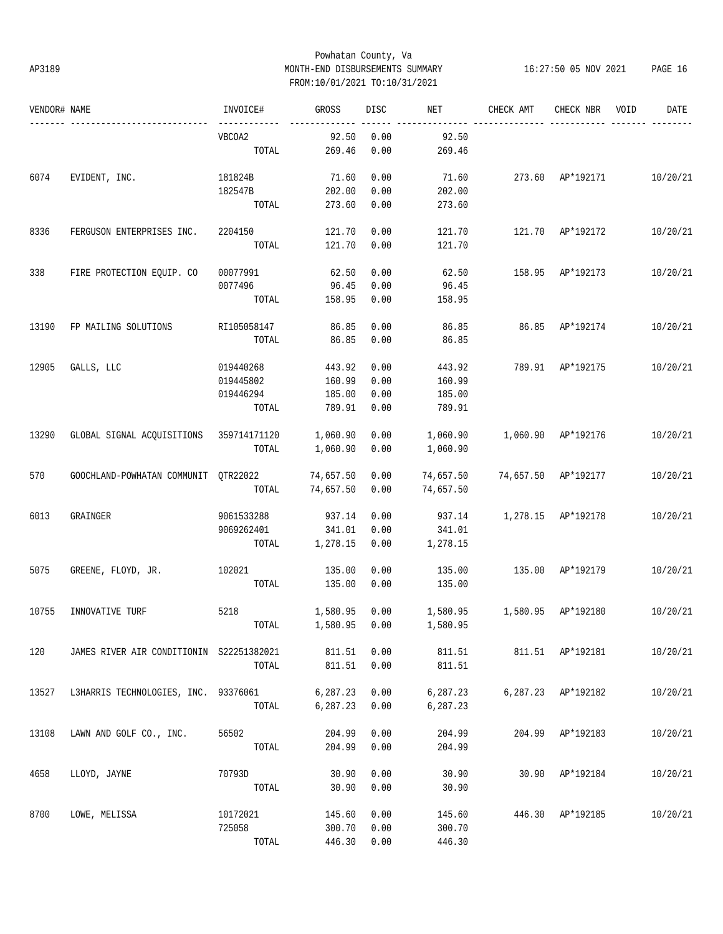# Powhatan County, Va AP3189 MONTH-END DISBURSEMENTS SUMMARY 16:27:50 05 NOV 2021 PAGE 16 FROM:10/01/2021 TO:10/31/2021

| VENDOR# NAME |                                          | INVOICE#    | GROSS         | DISC | NET                          | CHECK AMT                       | CHECK NBR          | VOID | DATE     |
|--------------|------------------------------------------|-------------|---------------|------|------------------------------|---------------------------------|--------------------|------|----------|
|              |                                          | VBCOA2      | 92.50         | 0.00 | 92.50                        |                                 |                    |      |          |
|              |                                          | TOTAL       | 269.46        | 0.00 | 269.46                       |                                 |                    |      |          |
| 6074         | EVIDENT, INC.                            | 181824B     | 71.60         | 0.00 | 71.60                        | 273.60 AP*192171 10/20/21       |                    |      |          |
|              |                                          | 182547B     | 202.00        | 0.00 | 202.00                       |                                 |                    |      |          |
|              |                                          | TOTAL       | 273.60        | 0.00 | 273.60                       |                                 |                    |      |          |
| 8336         | FERGUSON ENTERPRISES INC.                | 2204150     | 121.70        | 0.00 | 121.70                       |                                 | 121.70 AP*192172   |      | 10/20/21 |
|              |                                          | TOTAL       | 121.70        | 0.00 | 121.70                       |                                 |                    |      |          |
| 338          | FIRE PROTECTION EQUIP. CO                | 00077991    | 62.50         | 0.00 | 62.50                        |                                 | 158.95 AP*192173   |      | 10/20/21 |
|              |                                          | 0077496     | 96.45         | 0.00 | 96.45                        |                                 |                    |      |          |
|              |                                          | TOTAL       | 158.95        | 0.00 | 158.95                       |                                 |                    |      |          |
| 13190        | FP MAILING SOLUTIONS                     | RI105058147 | 86.85         | 0.00 | 86.85                        | 86.85 AP*192174                 |                    |      | 10/20/21 |
|              |                                          | TOTAL       | 86.85         | 0.00 | 86.85                        |                                 |                    |      |          |
| 12905        | GALLS, LLC                               | 019440268   | 443.92        | 0.00 | 443.92                       | 789.91 AP*192175                |                    |      | 10/20/21 |
|              |                                          | 019445802   | 160.99        | 0.00 | 160.99                       |                                 |                    |      |          |
|              |                                          | 019446294   | 185.00        | 0.00 | 185.00                       |                                 |                    |      |          |
|              |                                          | TOTAL       | 789.91        | 0.00 | 789.91                       |                                 |                    |      |          |
|              |                                          |             |               |      |                              |                                 |                    |      |          |
| 13290        | GLOBAL SIGNAL ACQUISITIONS 359714171120  |             | 1,060.90      | 0.00 | 1,060.90                     | 1,060.90 AP*192176              |                    |      | 10/20/21 |
|              |                                          | TOTAL       | 1,060.90      | 0.00 | 1,060.90                     |                                 |                    |      |          |
| 570          | GOOCHLAND-POWHATAN COMMUNIT QTR22022     |             | 74,657.50     | 0.00 | 74,657.50                    | 74,657.50 AP*192177             |                    |      | 10/20/21 |
|              |                                          | TOTAL       | 74,657.50     | 0.00 | 74,657.50                    |                                 |                    |      |          |
| 6013         | GRAINGER                                 | 9061533288  | 937.14        | 0.00 | 937.14                       | 1,278.15 AP*192178              |                    |      | 10/20/21 |
|              |                                          | 9069262401  | 341.01        | 0.00 | 341.01                       |                                 |                    |      |          |
|              |                                          | TOTAL       | 1,278.15      | 0.00 | 1,278.15                     |                                 |                    |      |          |
| 5075         | GREENE, FLOYD, JR. 102021                |             | 135.00        | 0.00 | 135.00                       | 135.00 AP*192179                |                    |      | 10/20/21 |
|              |                                          | TOTAL       | 135.00        | 0.00 | 135.00                       |                                 |                    |      |          |
| 10755        | INNOVATIVE TURF                          | 5218        | 1,580.95 0.00 |      |                              | 1,580.95   1,580.95   AP*192180 |                    |      | 10/20/21 |
|              |                                          |             |               |      | TOTAL 1,580.95 0.00 1,580.95 |                                 |                    |      |          |
| 120          | JAMES RIVER AIR CONDITIONIN S22251382021 |             | 811.51        | 0.00 |                              | 811.51   811.51   AP*192181     |                    |      | 10/20/21 |
|              |                                          | TOTAL       | 811.51        | 0.00 | 811.51                       |                                 |                    |      |          |
| 13527        | L3HARRIS TECHNOLOGIES, INC. 93376061     |             | 6,287.23      | 0.00 | 6,287.23                     |                                 | 6,287.23 AP*192182 |      | 10/20/21 |
|              |                                          | TOTAL       | 6,287.23      | 0.00 | 6,287.23                     |                                 |                    |      |          |
| 13108        | LAWN AND GOLF CO., INC.                  | 56502       | 204.99        | 0.00 | 204.99                       |                                 | 204.99 AP*192183   |      | 10/20/21 |
|              |                                          | TOTAL       | 204.99        | 0.00 | 204.99                       |                                 |                    |      |          |
| 4658         | LLOYD, JAYNE                             | 70793D      | 30.90         | 0.00 | 30.90                        |                                 | 30.90 AP*192184    |      | 10/20/21 |
|              |                                          | TOTAL       | 30.90         | 0.00 | 30.90                        |                                 |                    |      |          |
| 8700         | LOWE, MELISSA                            | 10172021    | 145.60        | 0.00 | 145.60                       |                                 | 446.30 AP*192185   |      | 10/20/21 |
|              |                                          | 725058      | 300.70        | 0.00 | 300.70                       |                                 |                    |      |          |
|              |                                          | TOTAL       | 446.30        | 0.00 | 446.30                       |                                 |                    |      |          |
|              |                                          |             |               |      |                              |                                 |                    |      |          |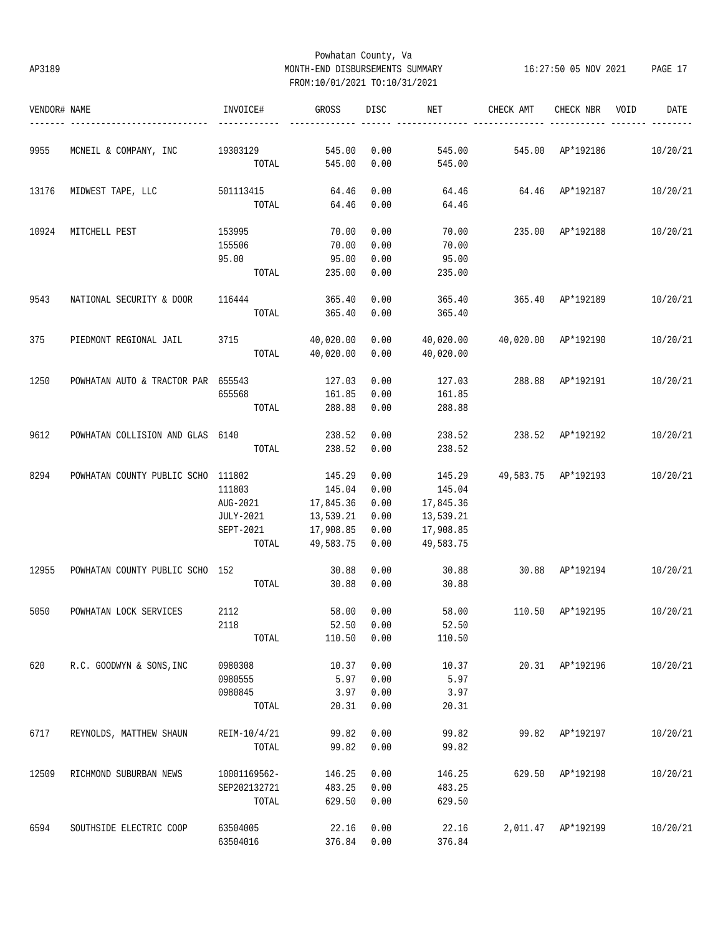# Powhatan County, Va AP3189 MONTH-END DISBURSEMENTS SUMMARY 16:27:50 05 NOV 2021 PAGE 17 FROM:10/01/2021 TO:10/31/2021

| VENDOR# NAME |                                    | INVOICE#       | GROSS           | DISC       | NET       | CHECK AMT                       | CHECK NBR          | VOID<br>DATE |
|--------------|------------------------------------|----------------|-----------------|------------|-----------|---------------------------------|--------------------|--------------|
| 9955         | MCNEIL & COMPANY, INC              | 19303129       | 545.00          | 0.00       | 545.00    | 545.00 AP*192186                |                    | 10/20/21     |
|              |                                    |                | TOTAL 545.00    | 0.00       | 545.00    |                                 |                    |              |
| 13176        | MIDWEST TAPE, LLC                  | 501113415      | 64.46           | 0.00       | 64.46     | 64.46 AP*192187                 |                    | 10/20/21     |
|              |                                    | TOTAL          | 64.46           | 0.00       | 64.46     |                                 |                    |              |
| 10924        | MITCHELL PEST                      | 153995         | 70.00           | 0.00       | 70.00     |                                 | 235.00 AP*192188   | 10/20/21     |
|              |                                    | 155506         | 70.00           | 0.00       | 70.00     |                                 |                    |              |
|              |                                    | 95.00          | 95.00           | 0.00       | 95.00     |                                 |                    |              |
|              |                                    | TOTAL          | 235.00          | 0.00       | 235.00    |                                 |                    |              |
| 9543         | NATIONAL SECURITY & DOOR           | 116444         | 365.40          | 0.00       | 365.40    | 365.40 AP*192189                |                    | 10/20/21     |
|              |                                    | TOTAL          | 365.40          | 0.00       | 365.40    |                                 |                    |              |
| 375          | PIEDMONT REGIONAL JAIL             | 3715 40,020.00 |                 | 0.00       |           | 40,020.00  40,020.00  AP*192190 |                    | 10/20/21     |
|              |                                    |                | TOTAL 40,020.00 | 0.00       | 40,020.00 |                                 |                    |              |
| 1250         | POWHATAN AUTO & TRACTOR PAR 655543 |                | 127.03          | 0.00       | 127.03    |                                 | 288.88 AP*192191   | 10/20/21     |
|              |                                    | 655568         | 161.85          | 0.00       | 161.85    |                                 |                    |              |
|              |                                    | TOTAL          | 288.88          | 0.00       | 288.88    |                                 |                    |              |
| 9612         | POWHATAN COLLISION AND GLAS 6140   |                | 238.52          | 0.00       | 238.52    | 238.52 AP*192192                |                    | 10/20/21     |
|              |                                    | TOTAL          | 238.52          | 0.00       | 238.52    |                                 |                    |              |
| 8294         | POWHATAN COUNTY PUBLIC SCHO 111802 |                | 145.29          | 0.00       | 145.29    | 49,583.75 AP*192193             |                    | 10/20/21     |
|              |                                    | 111803         | 145.04          | 0.00       | 145.04    |                                 |                    |              |
|              |                                    | AUG-2021       | 17,845.36       | 0.00       | 17,845.36 |                                 |                    |              |
|              |                                    | JULY-2021      | 13,539.21       | 0.00       | 13,539.21 |                                 |                    |              |
|              |                                    | SEPT-2021      | 17,908.85       | 0.00       | 17,908.85 |                                 |                    |              |
|              |                                    | TOTAL          | 49,583.75       | 0.00       | 49,583.75 |                                 |                    |              |
| 12955        | POWHATAN COUNTY PUBLIC SCHO 152    |                | 30.88           | 0.00       | 30.88     | 30.88 AP*192194                 |                    | 10/20/21     |
|              |                                    | TOTAL          | 30.88           | 0.00       | 30.88     |                                 |                    |              |
| 5050         | POWHATAN LOCK SERVICES             | 2112           | 58.00           | 0.00       | 58.00     | 110.50                          | AP*192195          | 10/20/21     |
|              |                                    | 2118           |                 | 52.50 0.00 | 52.50     |                                 |                    |              |
|              |                                    | TOTAL          | 110.50          | 0.00       | 110.50    |                                 |                    |              |
| 620          | R.C. GOODWYN & SONS, INC           | 0980308        | 10.37           | 0.00       | 10.37     |                                 | 20.31 AP*192196    | 10/20/21     |
|              |                                    | 0980555        | 5.97            | 0.00       | 5.97      |                                 |                    |              |
|              |                                    | 0980845        | 3.97            | 0.00       | 3.97      |                                 |                    |              |
|              |                                    | TOTAL          | 20.31           | 0.00       | 20.31     |                                 |                    |              |
| 6717         | REYNOLDS, MATTHEW SHAUN            | REIM-10/4/21   | 99.82           | 0.00       | 99.82     |                                 | 99.82 AP*192197    | 10/20/21     |
|              |                                    | TOTAL          | 99.82           | 0.00       | 99.82     |                                 |                    |              |
| 12509        | RICHMOND SUBURBAN NEWS             | 10001169562-   | 146.25          | 0.00       | 146.25    | 629.50 AP*192198                |                    | 10/20/21     |
|              |                                    | SEP202132721   | 483.25          | 0.00       | 483.25    |                                 |                    |              |
|              |                                    | TOTAL          | 629.50          | 0.00       | 629.50    |                                 |                    |              |
| 6594         | SOUTHSIDE ELECTRIC COOP            | 63504005       | 22.16           | 0.00       | 22.16     |                                 | 2,011.47 AP*192199 | 10/20/21     |
|              |                                    | 63504016       | 376.84 0.00     |            | 376.84    |                                 |                    |              |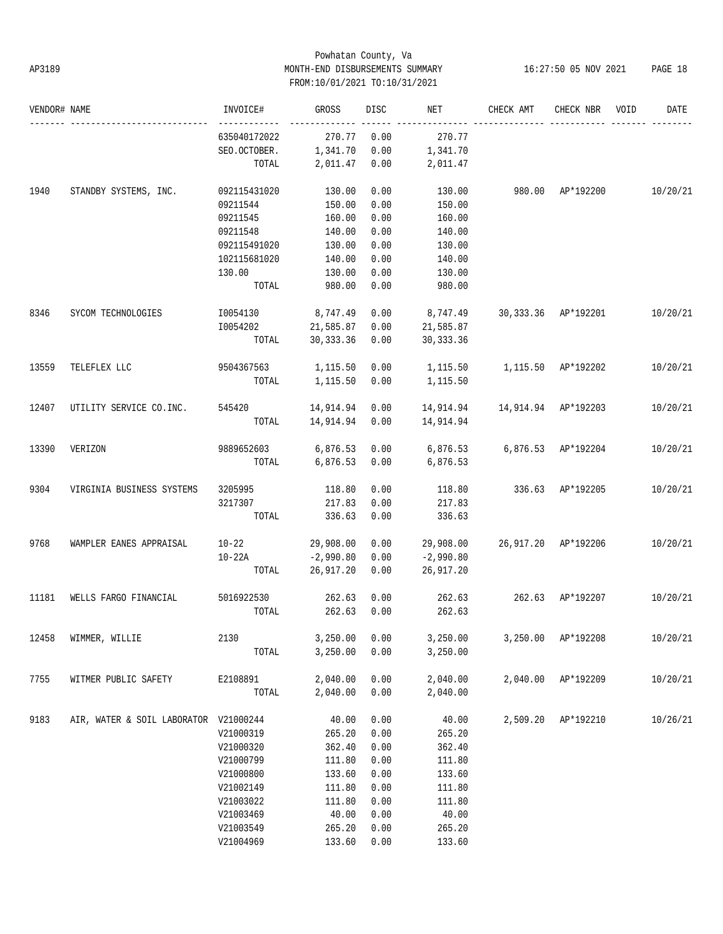# Powhatan County, Va AP3189 MONTH-END DISBURSEMENTS SUMMARY 16:27:50 05 NOV 2021 PAGE 18 FROM:10/01/2021 TO:10/31/2021

| VENDOR# NAME |                                          | INVOICE#                     | GROSS          | DISC | NET                          | CHECK AMT           | CHECK NBR          | VOID | DATE     |
|--------------|------------------------------------------|------------------------------|----------------|------|------------------------------|---------------------|--------------------|------|----------|
|              |                                          | ------------<br>635040172022 | 270.77         | 0.00 | 270.77                       |                     |                    |      |          |
|              |                                          | SEO.OCTOBER.                 | 1,341.70       | 0.00 | 1,341.70                     |                     |                    |      |          |
|              |                                          | TOTAL                        | 2,011.47 0.00  |      | 2,011.47                     |                     |                    |      |          |
| 1940         | STANDBY SYSTEMS, INC.                    | 092115431020                 | 130.00         | 0.00 | 130.00                       | 980.00 AP*192200    |                    |      | 10/20/21 |
|              |                                          | 09211544                     | 150.00         | 0.00 | 150.00                       |                     |                    |      |          |
|              |                                          | 09211545                     | 160.00         | 0.00 | 160.00                       |                     |                    |      |          |
|              |                                          | 09211548                     | 140.00         | 0.00 | 140.00                       |                     |                    |      |          |
|              |                                          | 092115491020                 | 130.00         | 0.00 | 130.00                       |                     |                    |      |          |
|              |                                          | 102115681020                 | 140.00         | 0.00 | 140.00                       |                     |                    |      |          |
|              |                                          | 130.00                       | 130.00         | 0.00 | 130.00                       |                     |                    |      |          |
|              |                                          | TOTAL                        | 980.00         | 0.00 | 980.00                       |                     |                    |      |          |
| 8346         | SYCOM TECHNOLOGIES                       | 10054130 8,747.49            |                | 0.00 | 8,747.49 30,333.36 AP*192201 |                     |                    |      | 10/20/21 |
|              |                                          | 10054202 21,585.87           |                | 0.00 | 21,585.87                    |                     |                    |      |          |
|              |                                          | TOTAL                        | 30,333.36      | 0.00 | 30, 333.36                   |                     |                    |      |          |
| 13559        | TELEFLEX LLC                             | 9504367563 1,115.50          |                | 0.00 |                              |                     |                    |      | 10/20/21 |
|              |                                          | TOTAL                        | 1,115.50       | 0.00 | 1,115.50                     |                     |                    |      |          |
| 12407        | UTILITY SERVICE CO.INC. 545420 14,914.94 |                              |                | 0.00 | 14,914.94                    | 14,914.94 AP*192203 |                    |      | 10/20/21 |
|              |                                          | TOTAL                        | 14,914.94 0.00 |      | 14,914.94                    |                     |                    |      |          |
| 13390        | VERIZON                                  | 9889652603 6,876.53 0.00     |                |      | 6,876.53 6,876.53 AP*192204  |                     |                    |      | 10/20/21 |
|              |                                          | TOTAL                        | 6,876.53 0.00  |      | 6,876.53                     |                     |                    |      |          |
| 9304         | VIRGINIA BUSINESS SYSTEMS                | 3205995                      | 118.80         | 0.00 | 118.80                       | 336.63 AP*192205    |                    |      | 10/20/21 |
|              |                                          | 3217307                      | 217.83         | 0.00 | 217.83                       |                     |                    |      |          |
|              |                                          | TOTAL                        | 336.63         | 0.00 | 336.63                       |                     |                    |      |          |
| 9768         | WAMPLER EANES APPRAISAL                  | $10-22$ 29,908.00            |                | 0.00 | 29,908.00                    | 26,917.20 AP*192206 |                    |      | 10/20/21 |
|              |                                          | $10-22A$                     | $-2,990.80$    | 0.00 | $-2,990.80$                  |                     |                    |      |          |
|              |                                          | TOTAL                        | 26,917.20      | 0.00 | 26,917.20                    |                     |                    |      |          |
| 11181        | WELLS FARGO FINANCIAL                    | 5016922530                   | 262.63         | 0.00 | 262.63                       | 262.63 AP*192207    |                    |      | 10/20/21 |
|              |                                          | TOTAL                        | 262.63         | 0.00 | 262.63                       |                     |                    |      |          |
| 12458        | WIMMER, WILLIE                           | 2130                         | 3,250.00       | 0.00 | 3,250.00                     |                     | 3,250.00 AP*192208 |      | 10/20/21 |
|              |                                          | TOTAL                        | 3,250.00       | 0.00 | 3,250.00                     |                     |                    |      |          |
| 7755         | WITMER PUBLIC SAFETY                     | E2108891                     | 2,040.00       | 0.00 | 2,040.00                     | 2,040.00            | AP*192209          |      | 10/20/21 |
|              |                                          | TOTAL                        | 2,040.00       | 0.00 | 2,040.00                     |                     |                    |      |          |
| 9183         | AIR, WATER & SOIL LABORATOR V21000244    |                              | 40.00          | 0.00 | 40.00                        |                     | 2,509.20 AP*192210 |      | 10/26/21 |
|              |                                          | V21000319                    | 265.20         | 0.00 | 265.20                       |                     |                    |      |          |
|              |                                          | V21000320                    | 362.40         | 0.00 | 362.40                       |                     |                    |      |          |
|              |                                          | V21000799                    | 111.80         | 0.00 | 111.80                       |                     |                    |      |          |
|              |                                          | V21000800                    | 133.60         | 0.00 | 133.60                       |                     |                    |      |          |
|              |                                          | V21002149                    | 111.80         | 0.00 | 111.80                       |                     |                    |      |          |
|              |                                          | V21003022                    | 111.80         | 0.00 | 111.80                       |                     |                    |      |          |
|              |                                          | V21003469                    | 40.00          | 0.00 | 40.00                        |                     |                    |      |          |
|              |                                          | V21003549                    | 265.20         | 0.00 | 265.20                       |                     |                    |      |          |
|              |                                          | V21004969                    | 133.60         | 0.00 | 133.60                       |                     |                    |      |          |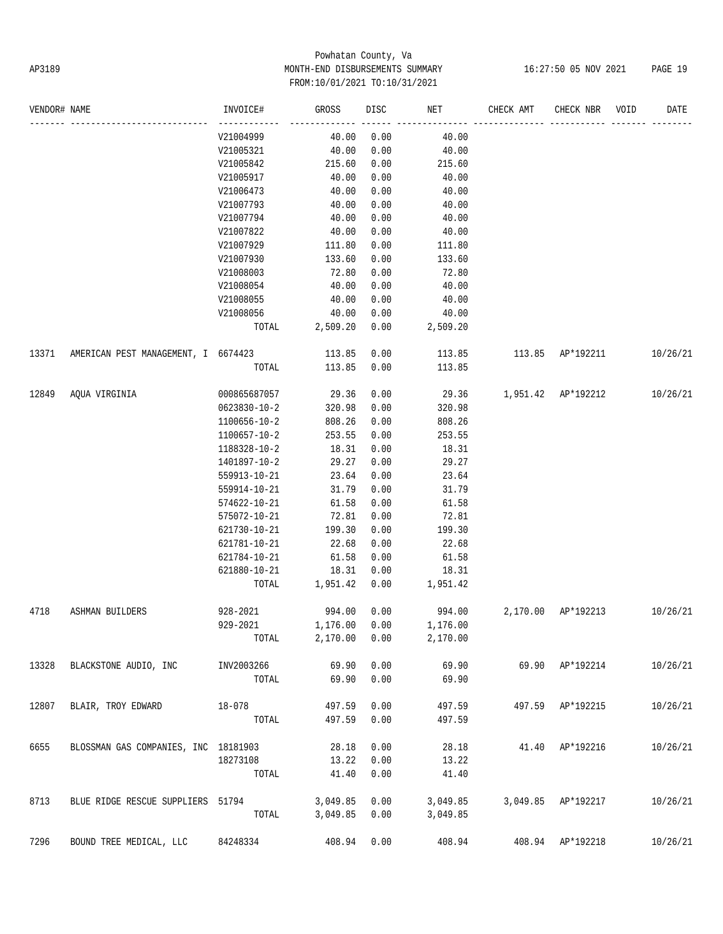# Powhatan County, Va AP3189 MONTH-END DISBURSEMENTS SUMMARY 16:27:50 05 NOV 2021 PAGE 19 FROM:10/01/2021 TO:10/31/2021

| VENDOR# NAME |                                      | INVOICE#     | GROSS    | DISC | NET      | CHECK AMT          | CHECK NBR          | VOID | DATE     |
|--------------|--------------------------------------|--------------|----------|------|----------|--------------------|--------------------|------|----------|
|              |                                      | V21004999    | 40.00    | 0.00 | 40.00    |                    |                    |      |          |
|              |                                      | V21005321    | 40.00    | 0.00 | 40.00    |                    |                    |      |          |
|              |                                      | V21005842    | 215.60   | 0.00 | 215.60   |                    |                    |      |          |
|              |                                      | V21005917    | 40.00    | 0.00 | 40.00    |                    |                    |      |          |
|              |                                      | V21006473    | 40.00    | 0.00 | 40.00    |                    |                    |      |          |
|              |                                      | V21007793    | 40.00    | 0.00 | 40.00    |                    |                    |      |          |
|              |                                      | V21007794    | 40.00    | 0.00 | 40.00    |                    |                    |      |          |
|              |                                      | V21007822    | 40.00    | 0.00 | 40.00    |                    |                    |      |          |
|              |                                      | V21007929    | 111.80   | 0.00 | 111.80   |                    |                    |      |          |
|              |                                      | V21007930    | 133.60   | 0.00 | 133.60   |                    |                    |      |          |
|              |                                      | V21008003    | 72.80    | 0.00 | 72.80    |                    |                    |      |          |
|              |                                      | V21008054    | 40.00    | 0.00 | 40.00    |                    |                    |      |          |
|              |                                      | V21008055    | 40.00    | 0.00 | 40.00    |                    |                    |      |          |
|              |                                      | V21008056    | 40.00    | 0.00 | 40.00    |                    |                    |      |          |
|              |                                      | TOTAL        | 2,509.20 | 0.00 | 2,509.20 |                    |                    |      |          |
| 13371        | AMERICAN PEST MANAGEMENT, I 6674423  |              | 113.85   | 0.00 | 113.85   | 113.85 AP*192211   |                    |      | 10/26/21 |
|              |                                      | TOTAL        | 113.85   | 0.00 | 113.85   |                    |                    |      |          |
| 12849        | AQUA VIRGINIA                        | 000865687057 | 29.36    | 0.00 | 29.36    | 1,951.42 AP*192212 |                    |      | 10/26/21 |
|              |                                      | 0623830-10-2 | 320.98   | 0.00 | 320.98   |                    |                    |      |          |
|              |                                      | 1100656-10-2 | 808.26   | 0.00 | 808.26   |                    |                    |      |          |
|              |                                      | 1100657-10-2 | 253.55   | 0.00 | 253.55   |                    |                    |      |          |
|              |                                      | 1188328-10-2 | 18.31    | 0.00 | 18.31    |                    |                    |      |          |
|              |                                      | 1401897-10-2 | 29.27    | 0.00 | 29.27    |                    |                    |      |          |
|              |                                      | 559913-10-21 | 23.64    | 0.00 | 23.64    |                    |                    |      |          |
|              |                                      | 559914-10-21 | 31.79    | 0.00 | 31.79    |                    |                    |      |          |
|              |                                      | 574622-10-21 | 61.58    | 0.00 | 61.58    |                    |                    |      |          |
|              |                                      | 575072-10-21 | 72.81    | 0.00 | 72.81    |                    |                    |      |          |
|              |                                      | 621730-10-21 | 199.30   | 0.00 | 199.30   |                    |                    |      |          |
|              |                                      | 621781-10-21 | 22.68    | 0.00 | 22.68    |                    |                    |      |          |
|              |                                      | 621784-10-21 | 61.58    | 0.00 | 61.58    |                    |                    |      |          |
|              |                                      | 621880-10-21 | 18.31    | 0.00 | 18.31    |                    |                    |      |          |
|              |                                      | TOTAL        | 1,951.42 | 0.00 | 1,951.42 |                    |                    |      |          |
| 4718         | ASHMAN BUILDERS                      | 928-2021     | 994.00   | 0.00 | 994.00   |                    | 2,170.00 AP*192213 |      | 10/26/21 |
|              |                                      | 929-2021     | 1,176.00 | 0.00 | 1,176.00 |                    |                    |      |          |
|              |                                      | TOTAL        | 2,170.00 | 0.00 | 2,170.00 |                    |                    |      |          |
| 13328        | BLACKSTONE AUDIO, INC                | INV2003266   | 69.90    | 0.00 | 69.90    |                    | 69.90 AP*192214    |      | 10/26/21 |
|              |                                      | TOTAL        | 69.90    | 0.00 | 69.90    |                    |                    |      |          |
| 12807        | BLAIR, TROY EDWARD                   | 18-078       | 497.59   | 0.00 | 497.59   |                    | 497.59 AP*192215   |      | 10/26/21 |
|              |                                      | TOTAL        | 497.59   | 0.00 | 497.59   |                    |                    |      |          |
| 6655         | BLOSSMAN GAS COMPANIES, INC 18181903 |              | 28.18    | 0.00 | 28.18    |                    | 41.40 AP*192216    |      | 10/26/21 |
|              |                                      | 18273108     | 13.22    | 0.00 | 13.22    |                    |                    |      |          |
|              |                                      | TOTAL        | 41.40    | 0.00 | 41.40    |                    |                    |      |          |
| 8713         | BLUE RIDGE RESCUE SUPPLIERS 51794    |              | 3,049.85 | 0.00 | 3,049.85 |                    | 3,049.85 AP*192217 |      | 10/26/21 |
|              |                                      | TOTAL        | 3,049.85 | 0.00 | 3,049.85 |                    |                    |      |          |
| 7296         | BOUND TREE MEDICAL, LLC              | 84248334     | 408.94   | 0.00 | 408.94   |                    | 408.94 AP*192218   |      | 10/26/21 |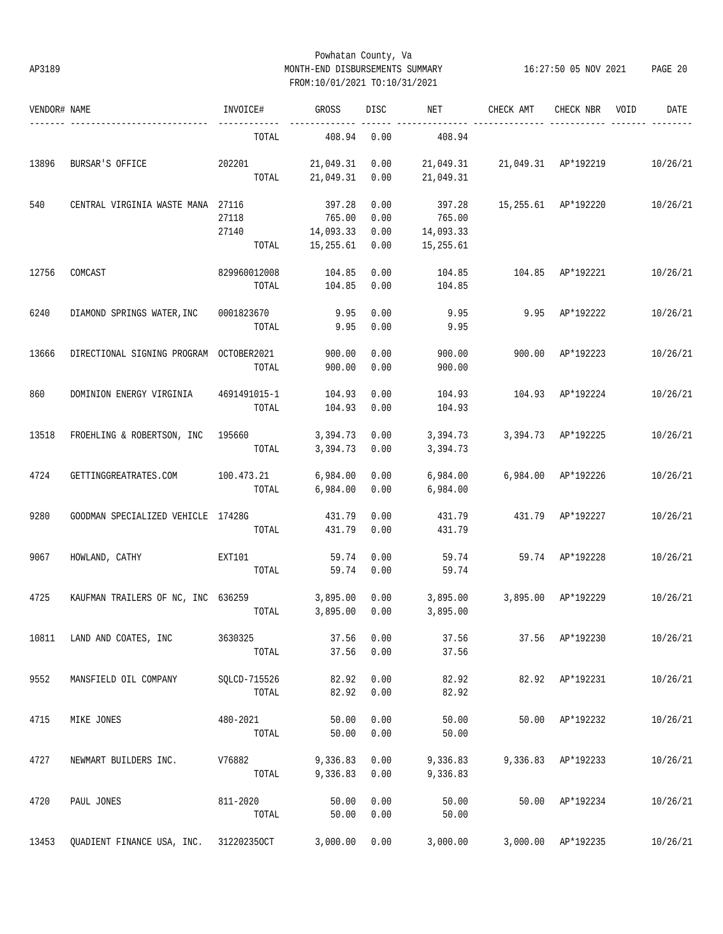# Powhatan County, Va AP3189 MONTH-END DISBURSEMENTS SUMMARY 16:27:50 05 NOV 2021 PAGE 20 FROM:10/01/2021 TO:10/31/2021

| VENDOR# NAME |                                         | INVOICE#        | GROSS     | DISC | NET       | CHECK AMT                     | CHECK NBR           | VOID | DATE     |
|--------------|-----------------------------------------|-----------------|-----------|------|-----------|-------------------------------|---------------------|------|----------|
|              |                                         | TOTAL           | 408.94    | 0.00 | 408.94    |                               |                     |      |          |
| 13896        | BURSAR'S OFFICE                         | 202201          | 21,049.31 | 0.00 |           | 21,049.31 21,049.31 AP*192219 |                     |      | 10/26/21 |
|              |                                         | TOTAL           | 21,049.31 | 0.00 | 21,049.31 |                               |                     |      |          |
| 540          | CENTRAL VIRGINIA WASTE MANA 27116       |                 | 397.28    | 0.00 | 397.28    |                               | 15,255.61 AP*192220 |      | 10/26/21 |
|              |                                         | 27118           | 765.00    | 0.00 | 765.00    |                               |                     |      |          |
|              |                                         | 27140           | 14,093.33 | 0.00 | 14,093.33 |                               |                     |      |          |
|              |                                         | TOTAL           | 15,255.61 | 0.00 | 15,255.61 |                               |                     |      |          |
| 12756        | COMCAST                                 | 829960012008    | 104.85    | 0.00 | 104.85    | 104.85                        | AP*192221           |      | 10/26/21 |
|              |                                         | TOTAL           | 104.85    | 0.00 | 104.85    |                               |                     |      |          |
| 6240         | DIAMOND SPRINGS WATER, INC              | 0001823670      | 9.95      | 0.00 | 9.95      | 9.95                          | AP*192222           |      | 10/26/21 |
|              |                                         | TOTAL           | 9.95      | 0.00 | 9.95      |                               |                     |      |          |
| 13666        | DIRECTIONAL SIGNING PROGRAM OCTOBER2021 |                 | 900.00    | 0.00 | 900.00    | 900.00                        | AP*192223           |      | 10/26/21 |
|              |                                         | TOTAL           | 900.00    | 0.00 | 900.00    |                               |                     |      |          |
|              |                                         |                 |           |      |           |                               |                     |      |          |
| 860          | DOMINION ENERGY VIRGINIA                | 4691491015-1    | 104.93    | 0.00 | 104.93    |                               | 104.93 AP*192224    |      | 10/26/21 |
|              |                                         | TOTAL           | 104.93    | 0.00 | 104.93    |                               |                     |      |          |
| 13518        | FROEHLING & ROBERTSON, INC 195660       |                 | 3,394.73  | 0.00 | 3,394.73  |                               | 3,394.73 AP*192225  |      | 10/26/21 |
|              |                                         | TOTAL           | 3,394.73  | 0.00 | 3,394.73  |                               |                     |      |          |
| 4724         | GETTINGGREATRATES.COM                   | 100.473.21      | 6,984.00  | 0.00 | 6,984.00  |                               | 6,984.00 AP*192226  |      | 10/26/21 |
|              |                                         | TOTAL           | 6,984.00  | 0.00 | 6,984.00  |                               |                     |      |          |
| 9280         | GOODMAN SPECIALIZED VEHICLE 17428G      |                 | 431.79    | 0.00 | 431.79    |                               | 431.79 AP*192227    |      | 10/26/21 |
|              |                                         | TOTAL           | 431.79    | 0.00 | 431.79    |                               |                     |      |          |
|              |                                         |                 |           |      |           |                               |                     |      |          |
| 9067         | HOWLAND, CATHY                          | EXT101<br>TOTAL | 59.74     | 0.00 | 59.74     |                               | 59.74 AP*192228     |      | 10/26/21 |
|              |                                         |                 | 59.74     | 0.00 | 59.74     |                               |                     |      |          |
| 4725         | KAUFMAN TRAILERS OF NC, INC 636259      |                 | 3,895.00  | 0.00 | 3,895.00  |                               | 3,895.00 AP*192229  |      | 10/26/21 |
|              |                                         | TOTAL           | 3,895.00  | 0.00 | 3,895.00  |                               |                     |      |          |
| 10811        | LAND AND COATES, INC                    | 3630325         | 37.56     | 0.00 | 37.56     |                               | 37.56 AP*192230     |      | 10/26/21 |
|              |                                         | TOTAL           | 37.56     | 0.00 | 37.56     |                               |                     |      |          |
| 9552         | MANSFIELD OIL COMPANY                   | SQLCD-715526    | 82.92     | 0.00 | 82.92     |                               | 82.92 AP*192231     |      | 10/26/21 |
|              |                                         | TOTAL           | 82.92     | 0.00 | 82.92     |                               |                     |      |          |
| 4715         | MIKE JONES                              | 480-2021        | 50.00     | 0.00 | 50.00     |                               | 50.00 AP*192232     |      | 10/26/21 |
|              |                                         | TOTAL           | 50.00     | 0.00 | 50.00     |                               |                     |      |          |
| 4727         | NEWMART BUILDERS INC.                   | V76882          | 9,336.83  | 0.00 | 9,336.83  |                               | 9,336.83 AP*192233  |      | 10/26/21 |
|              |                                         | TOTAL           | 9,336.83  | 0.00 | 9,336.83  |                               |                     |      |          |
|              |                                         |                 |           |      |           |                               |                     |      |          |
| 4720         | PAUL JONES                              | 811-2020        | 50.00     | 0.00 | 50.00     |                               | 50.00 AP*192234     |      | 10/26/21 |
|              |                                         | TOTAL           | 50.00     | 0.00 | 50.00     |                               |                     |      |          |
| 13453        | QUADIENT FINANCE USA, INC. 312202350CT  |                 | 3,000.00  | 0.00 | 3,000.00  |                               | 3,000.00 AP*192235  |      | 10/26/21 |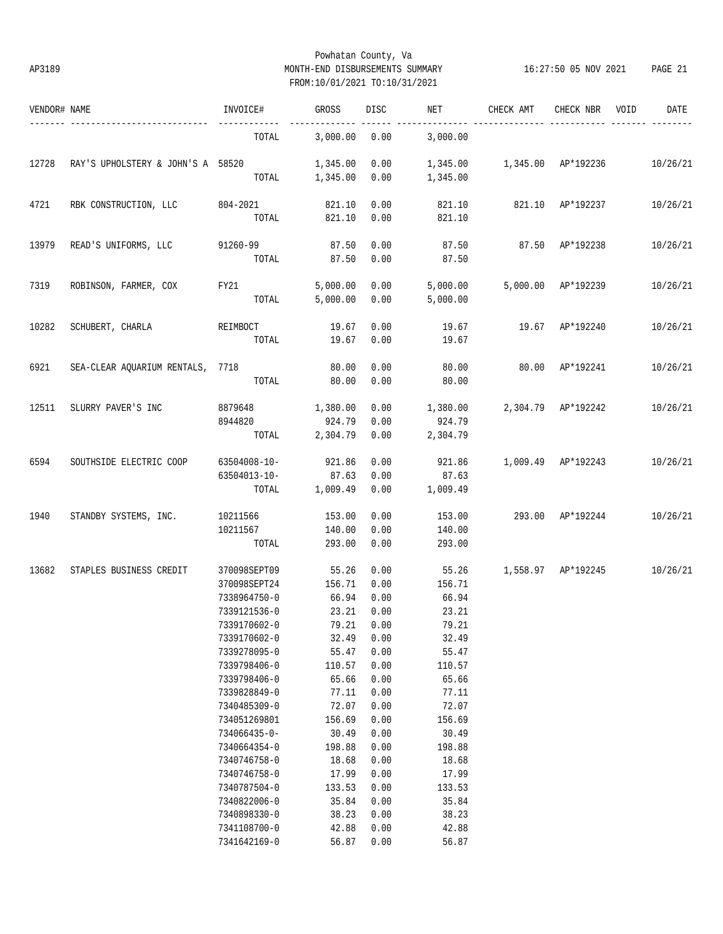# Powhatan County, Va AP3189 MONTH-END DISBURSEMENTS SUMMARY 16:27:50 05 NOV 2021 PAGE 21 FROM:10/01/2021 TO:10/31/2021

| VENDOR# NAME |                                   | INVOICE#                                                                     | GROSS                                       | DISC                                 | NET                                         | CHECK AMT          | CHECK NBR          | VOID | DATE     |
|--------------|-----------------------------------|------------------------------------------------------------------------------|---------------------------------------------|--------------------------------------|---------------------------------------------|--------------------|--------------------|------|----------|
|              |                                   | TOTAL                                                                        | 3,000.00                                    | 0.00                                 | 3,000.00                                    |                    |                    |      |          |
| 12728        | RAY'S UPHOLSTERY & JOHN'S A 58520 |                                                                              | 1,345.00<br>TOTAL 1,345.00                  | 0.00<br>0.00                         | 1,345.00<br>1,345.00                        | 1,345.00 AP*192236 |                    |      | 10/26/21 |
| 4721         | RBK CONSTRUCTION, LLC             | $804 - 2021$<br>TOTAL                                                        | 821.10<br>821.10                            | 0.00<br>0.00                         | 821.10<br>821.10                            |                    | 821.10 AP*192237   |      | 10/26/21 |
| 13979        | READ'S UNIFORMS, LLC 91260-99     | TOTAL                                                                        | 87.50<br>87.50                              | 0.00<br>0.00                         | 87.50<br>87.50                              | 87.50 AP*192238    |                    |      | 10/26/21 |
| 7319         | ROBINSON, FARMER, COX             | FY21<br>TOTAL                                                                | 5,000.00<br>5,000.00                        | 0.00<br>0.00                         | 5,000.00<br>5,000.00                        |                    | 5,000.00 AP*192239 |      | 10/26/21 |
| 10282        | SCHUBERT, CHARLA REIMBOCT         | TOTAL                                                                        | 19.67<br>19.67                              | 0.00<br>0.00                         | 19.67<br>19.67                              | 19.67 AP*192240    |                    |      | 10/26/21 |
| 6921         | SEA-CLEAR AQUARIUM RENTALS, 7718  | TOTAL                                                                        | 80.00<br>80.00                              | 0.00<br>0.00                         | 80.00<br>80.00                              | 80.00 AP*192241    |                    |      | 10/26/21 |
| 12511        | SLURRY PAVER'S INC                | 8879648<br>8944820<br>TOTAL                                                  | 1,380.00<br>924.79<br>2,304.79              | 0.00<br>0.00<br>0.00                 | 1,380.00<br>924.79<br>2,304.79              | 2,304.79 AP*192242 |                    |      | 10/26/21 |
| 6594         | SOUTHSIDE ELECTRIC COOP           | 63504008-10-<br>63504013-10-<br>TOTAL                                        | 921.86<br>87.63<br>1,009.49                 | 0.00<br>0.00<br>0.00                 | 921.86<br>87.63<br>1,009.49                 | 1,009.49 AP*192243 |                    |      | 10/26/21 |
| 1940         | STANDBY SYSTEMS, INC.             | 10211566<br>10211567<br>TOTAL                                                | 153.00<br>140.00<br>293.00                  | 0.00<br>0.00<br>0.00                 | 153.00<br>140.00<br>293.00                  | 293.00 AP*192244   |                    |      | 10/26/21 |
| 13682        | STAPLES BUSINESS CREDIT           | 370098SEPT09<br>370098SEPT24<br>7338964750-0<br>7339121536-0                 | 55.26<br>156.71<br>66.94<br>23.21           | 0.00<br>0.00<br>0.00<br>0.00         | 55.26<br>156.71<br>66.94<br>23.21           | 1,558.97 AP*192245 |                    |      | 10/26/21 |
|              |                                   | 7339170602-0<br>7339170602-0<br>7339278095-0<br>7339798406-0                 | 32.49<br>55.47<br>110.57                    | 79.21 0.00<br>0.00<br>0.00<br>0.00   | 79.21<br>32.49<br>55.47<br>110.57           |                    |                    |      |          |
|              |                                   | 7339798406-0<br>7339828849-0<br>7340485309-0<br>734051269801                 | 65.66<br>77.11<br>72.07<br>156.69           | 0.00<br>0.00<br>0.00<br>0.00         | 65.66<br>77.11<br>72.07<br>156.69           |                    |                    |      |          |
|              |                                   | 734066435-0-<br>7340664354-0<br>7340746758-0<br>7340746758-0<br>7340787504-0 | 30.49<br>198.88<br>18.68<br>17.99<br>133.53 | 0.00<br>0.00<br>0.00<br>0.00<br>0.00 | 30.49<br>198.88<br>18.68<br>17.99<br>133.53 |                    |                    |      |          |
|              |                                   | 7340822006-0<br>7340898330-0<br>7341108700-0<br>7341642169-0                 | 35.84<br>38.23<br>42.88<br>56.87            | 0.00<br>0.00<br>0.00<br>0.00         | 35.84<br>38.23<br>42.88<br>56.87            |                    |                    |      |          |